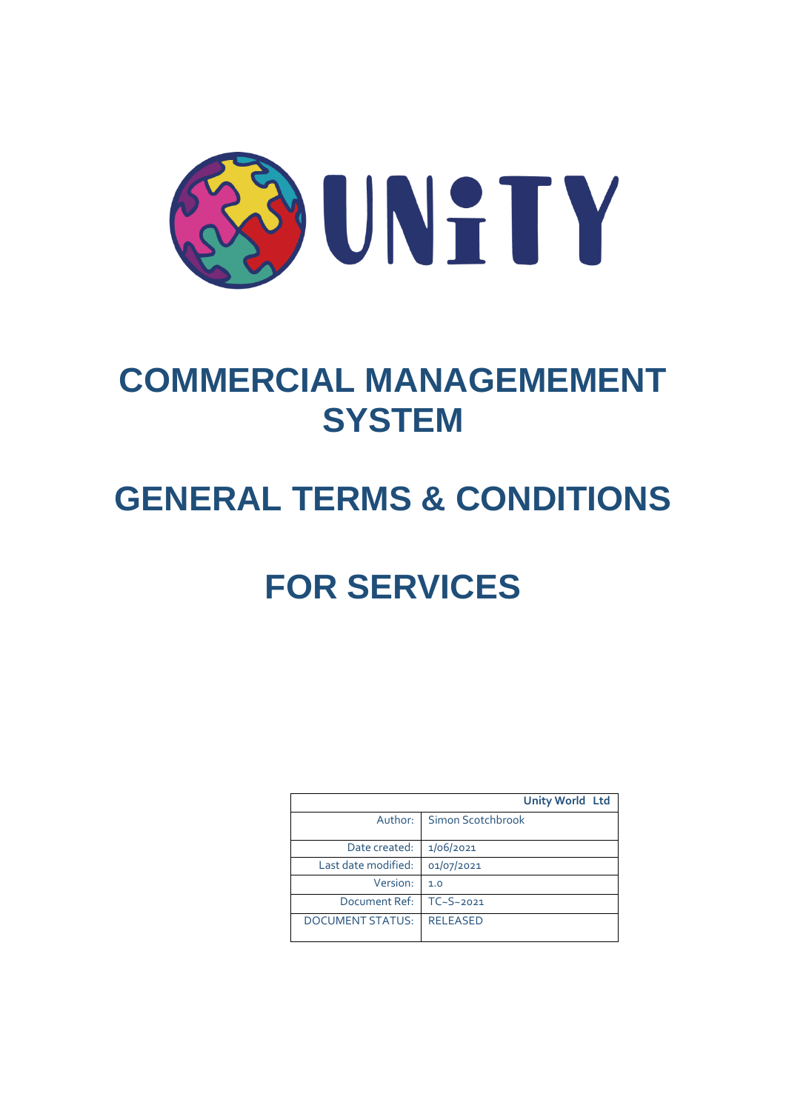

# **COMMERCIAL MANAGEMEMENT SYSTEM**

# **GENERAL TERMS & CONDITIONS**

# **FOR SERVICES**

|                         | <b>Unity World Ltd</b> |
|-------------------------|------------------------|
| Author:                 | Simon Scotchbrook      |
| Date created:           | 1/06/2021              |
| Last date modified:     | 01/07/2021             |
| Version:                | 1.0                    |
| Document Ref:           | $TC-S~2021$            |
| <b>DOCUMENT STATUS:</b> | <b>RELEASED</b>        |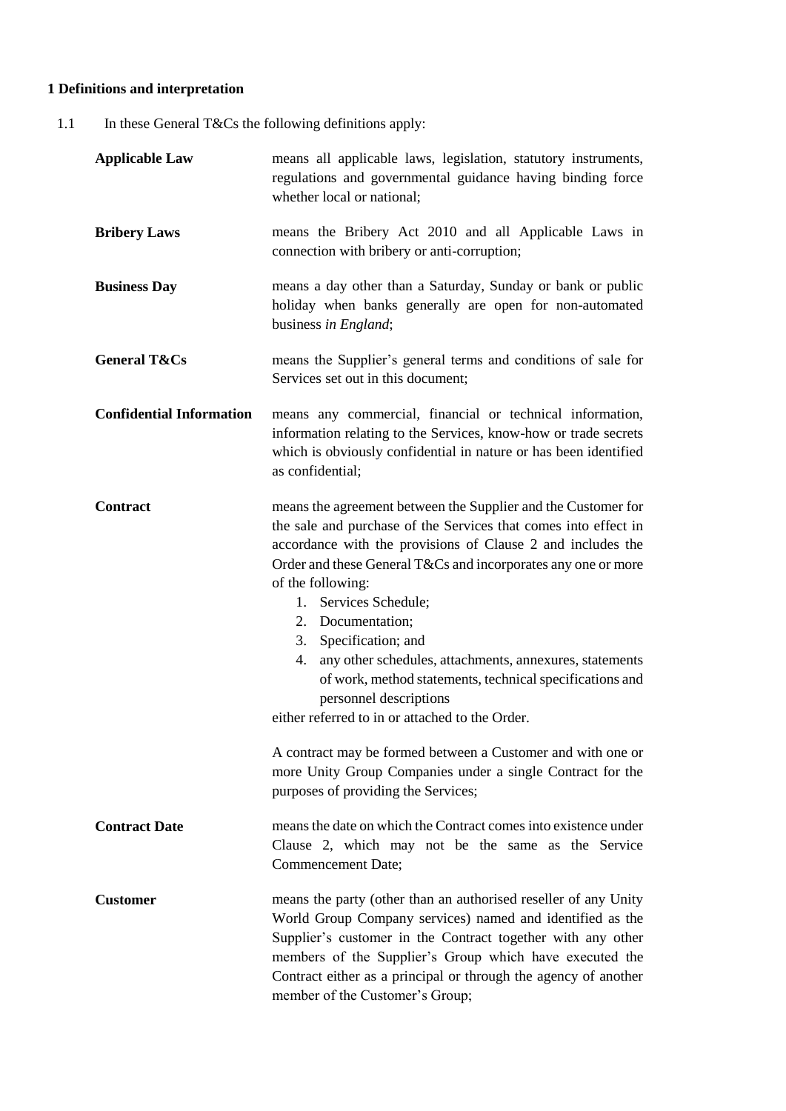# **1 Definitions and interpretation**

1.1 In these General T&Cs the following definitions apply:

| <b>Applicable Law</b>           | means all applicable laws, legislation, statutory instruments,<br>regulations and governmental guidance having binding force<br>whether local or national;                                                                                                                                                                                                                                                                                                                                                                                                                                                                                                                                                                                       |  |  |
|---------------------------------|--------------------------------------------------------------------------------------------------------------------------------------------------------------------------------------------------------------------------------------------------------------------------------------------------------------------------------------------------------------------------------------------------------------------------------------------------------------------------------------------------------------------------------------------------------------------------------------------------------------------------------------------------------------------------------------------------------------------------------------------------|--|--|
| <b>Bribery Laws</b>             | means the Bribery Act 2010 and all Applicable Laws in<br>connection with bribery or anti-corruption;                                                                                                                                                                                                                                                                                                                                                                                                                                                                                                                                                                                                                                             |  |  |
| <b>Business Day</b>             | means a day other than a Saturday, Sunday or bank or public<br>holiday when banks generally are open for non-automated<br>business in England;                                                                                                                                                                                                                                                                                                                                                                                                                                                                                                                                                                                                   |  |  |
| <b>General T&amp;Cs</b>         | means the Supplier's general terms and conditions of sale for<br>Services set out in this document;                                                                                                                                                                                                                                                                                                                                                                                                                                                                                                                                                                                                                                              |  |  |
| <b>Confidential Information</b> | means any commercial, financial or technical information,<br>information relating to the Services, know-how or trade secrets<br>which is obviously confidential in nature or has been identified<br>as confidential;                                                                                                                                                                                                                                                                                                                                                                                                                                                                                                                             |  |  |
| <b>Contract</b>                 | means the agreement between the Supplier and the Customer for<br>the sale and purchase of the Services that comes into effect in<br>accordance with the provisions of Clause 2 and includes the<br>Order and these General T&Cs and incorporates any one or more<br>of the following:<br>Services Schedule;<br>1.<br>2. Documentation;<br>Specification; and<br>3.<br>any other schedules, attachments, annexures, statements<br>4.<br>of work, method statements, technical specifications and<br>personnel descriptions<br>either referred to in or attached to the Order.<br>A contract may be formed between a Customer and with one or<br>more Unity Group Companies under a single Contract for the<br>purposes of providing the Services; |  |  |
| <b>Contract Date</b>            | means the date on which the Contract comes into existence under<br>Clause 2, which may not be the same as the Service<br><b>Commencement Date;</b>                                                                                                                                                                                                                                                                                                                                                                                                                                                                                                                                                                                               |  |  |
| <b>Customer</b>                 | means the party (other than an authorised reseller of any Unity<br>World Group Company services) named and identified as the<br>Supplier's customer in the Contract together with any other<br>members of the Supplier's Group which have executed the<br>Contract either as a principal or through the agency of another<br>member of the Customer's Group;                                                                                                                                                                                                                                                                                                                                                                                     |  |  |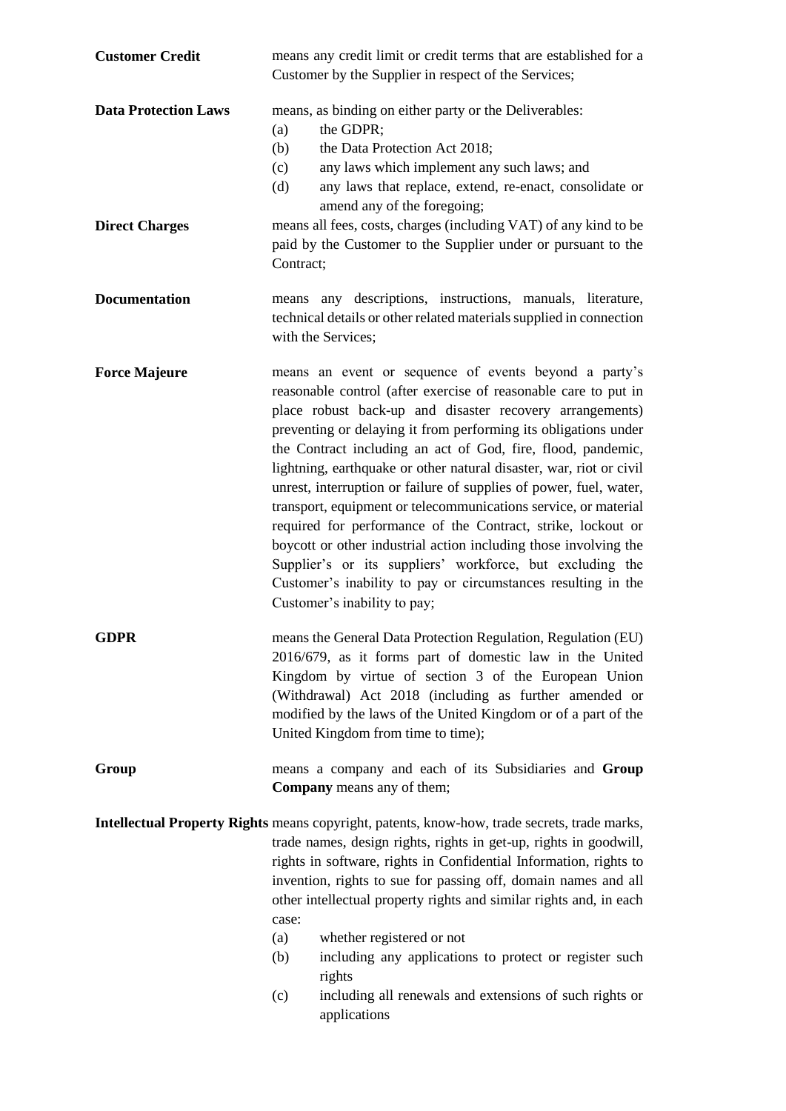| <b>Customer Credit</b>                               | means any credit limit or credit terms that are established for a<br>Customer by the Supplier in respect of the Services;                                                                                                                                                                                                                                                                                                                                                                                                                                                                                                                                                                                                                                                                                                                 |  |  |
|------------------------------------------------------|-------------------------------------------------------------------------------------------------------------------------------------------------------------------------------------------------------------------------------------------------------------------------------------------------------------------------------------------------------------------------------------------------------------------------------------------------------------------------------------------------------------------------------------------------------------------------------------------------------------------------------------------------------------------------------------------------------------------------------------------------------------------------------------------------------------------------------------------|--|--|
| <b>Data Protection Laws</b><br><b>Direct Charges</b> | means, as binding on either party or the Deliverables:<br>the GDPR;<br>(a)<br>the Data Protection Act 2018;<br>(b)<br>any laws which implement any such laws; and<br>(c)<br>any laws that replace, extend, re-enact, consolidate or<br>(d)<br>amend any of the foregoing;<br>means all fees, costs, charges (including VAT) of any kind to be<br>paid by the Customer to the Supplier under or pursuant to the<br>Contract;                                                                                                                                                                                                                                                                                                                                                                                                               |  |  |
| <b>Documentation</b>                                 | means any descriptions, instructions, manuals, literature,<br>technical details or other related materials supplied in connection<br>with the Services;                                                                                                                                                                                                                                                                                                                                                                                                                                                                                                                                                                                                                                                                                   |  |  |
| <b>Force Majeure</b>                                 | means an event or sequence of events beyond a party's<br>reasonable control (after exercise of reasonable care to put in<br>place robust back-up and disaster recovery arrangements)<br>preventing or delaying it from performing its obligations under<br>the Contract including an act of God, fire, flood, pandemic,<br>lightning, earthquake or other natural disaster, war, riot or civil<br>unrest, interruption or failure of supplies of power, fuel, water,<br>transport, equipment or telecommunications service, or material<br>required for performance of the Contract, strike, lockout or<br>boycott or other industrial action including those involving the<br>Supplier's or its suppliers' workforce, but excluding the<br>Customer's inability to pay or circumstances resulting in the<br>Customer's inability to pay; |  |  |
| GDPR                                                 | means the General Data Protection Regulation, Regulation (EU)<br>2016/679, as it forms part of domestic law in the United<br>Kingdom by virtue of section 3 of the European Union<br>(Withdrawal) Act 2018 (including as further amended or<br>modified by the laws of the United Kingdom or of a part of the<br>United Kingdom from time to time);                                                                                                                                                                                                                                                                                                                                                                                                                                                                                       |  |  |
| Group                                                | means a company and each of its Subsidiaries and Group<br><b>Company</b> means any of them;                                                                                                                                                                                                                                                                                                                                                                                                                                                                                                                                                                                                                                                                                                                                               |  |  |
|                                                      | Intellectual Property Rights means copyright, patents, know-how, trade secrets, trade marks,<br>trade names, design rights, rights in get-up, rights in goodwill,<br>rights in software, rights in Confidential Information, rights to<br>invention, rights to sue for passing off, domain names and all<br>other intellectual property rights and similar rights and, in each<br>case:<br>(a)<br>whether registered or not<br>including any applications to protect or register such<br>(b)<br>rights<br>including all renewals and extensions of such rights or<br>(c)                                                                                                                                                                                                                                                                  |  |  |

(c) including all renewals and extensions of such rights or applications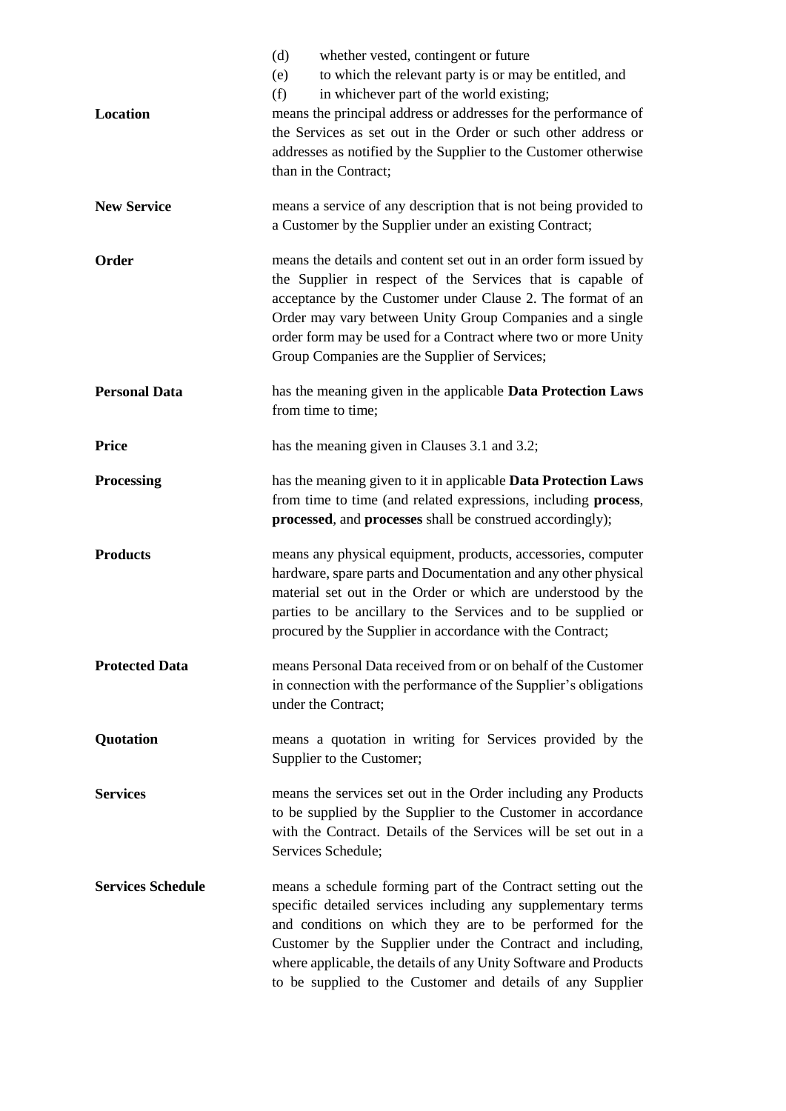| Location                 | whether vested, contingent or future<br>(d)<br>to which the relevant party is or may be entitled, and<br>(e)<br>(f)<br>in whichever part of the world existing;<br>means the principal address or addresses for the performance of<br>the Services as set out in the Order or such other address or<br>addresses as notified by the Supplier to the Customer otherwise<br>than in the Contract; |  |  |  |
|--------------------------|-------------------------------------------------------------------------------------------------------------------------------------------------------------------------------------------------------------------------------------------------------------------------------------------------------------------------------------------------------------------------------------------------|--|--|--|
| <b>New Service</b>       | means a service of any description that is not being provided to<br>a Customer by the Supplier under an existing Contract;                                                                                                                                                                                                                                                                      |  |  |  |
| Order                    | means the details and content set out in an order form issued by<br>the Supplier in respect of the Services that is capable of<br>acceptance by the Customer under Clause 2. The format of an<br>Order may vary between Unity Group Companies and a single<br>order form may be used for a Contract where two or more Unity<br>Group Companies are the Supplier of Services;                    |  |  |  |
| <b>Personal Data</b>     | has the meaning given in the applicable Data Protection Laws<br>from time to time;                                                                                                                                                                                                                                                                                                              |  |  |  |
| <b>Price</b>             | has the meaning given in Clauses 3.1 and 3.2;                                                                                                                                                                                                                                                                                                                                                   |  |  |  |
| <b>Processing</b>        | has the meaning given to it in applicable Data Protection Laws<br>from time to time (and related expressions, including process,<br>processed, and processes shall be construed accordingly);                                                                                                                                                                                                   |  |  |  |
| <b>Products</b>          | means any physical equipment, products, accessories, computer<br>hardware, spare parts and Documentation and any other physical<br>material set out in the Order or which are understood by the<br>parties to be ancillary to the Services and to be supplied or<br>procured by the Supplier in accordance with the Contract;                                                                   |  |  |  |
| <b>Protected Data</b>    | means Personal Data received from or on behalf of the Customer<br>in connection with the performance of the Supplier's obligations<br>under the Contract;                                                                                                                                                                                                                                       |  |  |  |
| Quotation                | means a quotation in writing for Services provided by the<br>Supplier to the Customer;                                                                                                                                                                                                                                                                                                          |  |  |  |
| <b>Services</b>          | means the services set out in the Order including any Products<br>to be supplied by the Supplier to the Customer in accordance<br>with the Contract. Details of the Services will be set out in a<br>Services Schedule;                                                                                                                                                                         |  |  |  |
| <b>Services Schedule</b> | means a schedule forming part of the Contract setting out the<br>specific detailed services including any supplementary terms<br>and conditions on which they are to be performed for the<br>Customer by the Supplier under the Contract and including,<br>where applicable, the details of any Unity Software and Products<br>to be supplied to the Customer and details of any Supplier       |  |  |  |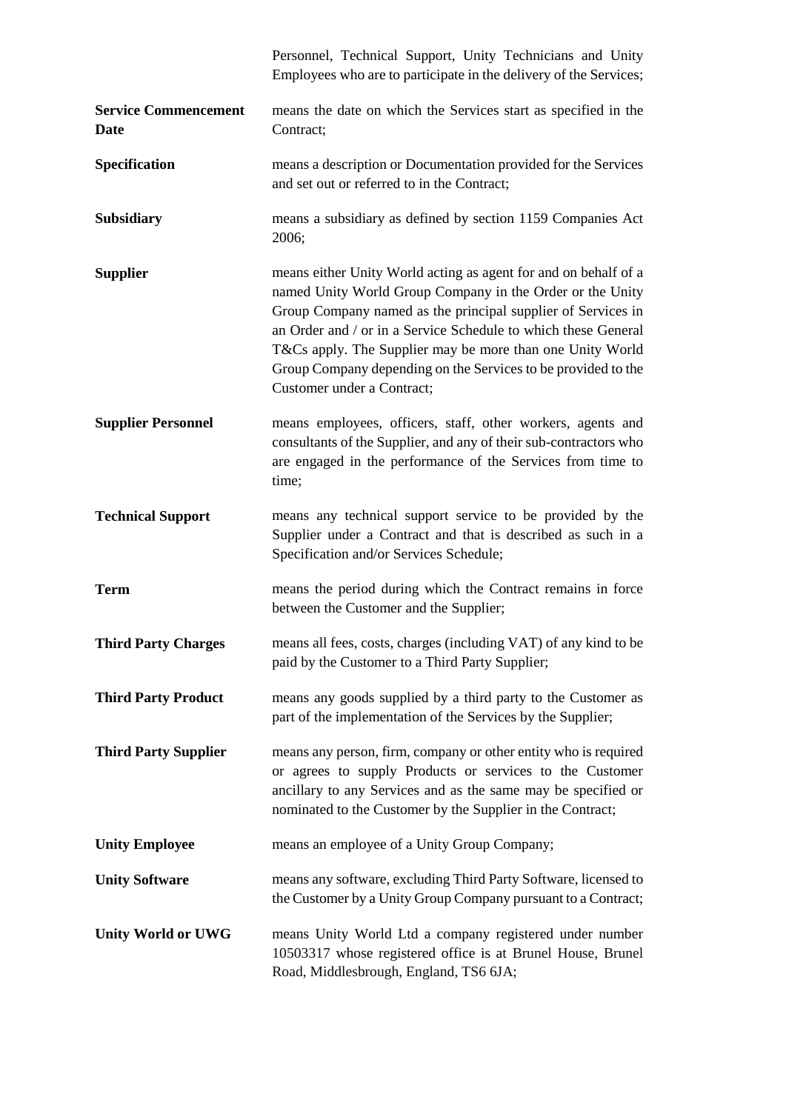|                                     | Personnel, Technical Support, Unity Technicians and Unity<br>Employees who are to participate in the delivery of the Services;                                                                                                                                                                                                                                                                                             |  |  |
|-------------------------------------|----------------------------------------------------------------------------------------------------------------------------------------------------------------------------------------------------------------------------------------------------------------------------------------------------------------------------------------------------------------------------------------------------------------------------|--|--|
| <b>Service Commencement</b><br>Date | means the date on which the Services start as specified in the<br>Contract;                                                                                                                                                                                                                                                                                                                                                |  |  |
| Specification                       | means a description or Documentation provided for the Services<br>and set out or referred to in the Contract;                                                                                                                                                                                                                                                                                                              |  |  |
| <b>Subsidiary</b>                   | means a subsidiary as defined by section 1159 Companies Act<br>2006;                                                                                                                                                                                                                                                                                                                                                       |  |  |
| <b>Supplier</b>                     | means either Unity World acting as agent for and on behalf of a<br>named Unity World Group Company in the Order or the Unity<br>Group Company named as the principal supplier of Services in<br>an Order and / or in a Service Schedule to which these General<br>T&Cs apply. The Supplier may be more than one Unity World<br>Group Company depending on the Services to be provided to the<br>Customer under a Contract; |  |  |
| <b>Supplier Personnel</b>           | means employees, officers, staff, other workers, agents and<br>consultants of the Supplier, and any of their sub-contractors who<br>are engaged in the performance of the Services from time to<br>time;                                                                                                                                                                                                                   |  |  |
| <b>Technical Support</b>            | means any technical support service to be provided by the<br>Supplier under a Contract and that is described as such in a<br>Specification and/or Services Schedule;                                                                                                                                                                                                                                                       |  |  |
| <b>Term</b>                         | means the period during which the Contract remains in force<br>between the Customer and the Supplier;                                                                                                                                                                                                                                                                                                                      |  |  |
| <b>Third Party Charges</b>          | means all fees, costs, charges (including VAT) of any kind to be<br>paid by the Customer to a Third Party Supplier;                                                                                                                                                                                                                                                                                                        |  |  |
| <b>Third Party Product</b>          | means any goods supplied by a third party to the Customer as<br>part of the implementation of the Services by the Supplier;                                                                                                                                                                                                                                                                                                |  |  |
| <b>Third Party Supplier</b>         | means any person, firm, company or other entity who is required<br>or agrees to supply Products or services to the Customer<br>ancillary to any Services and as the same may be specified or<br>nominated to the Customer by the Supplier in the Contract;                                                                                                                                                                 |  |  |
| <b>Unity Employee</b>               | means an employee of a Unity Group Company;                                                                                                                                                                                                                                                                                                                                                                                |  |  |
| <b>Unity Software</b>               | means any software, excluding Third Party Software, licensed to<br>the Customer by a Unity Group Company pursuant to a Contract;                                                                                                                                                                                                                                                                                           |  |  |
| <b>Unity World or UWG</b>           | means Unity World Ltd a company registered under number<br>10503317 whose registered office is at Brunel House, Brunel<br>Road, Middlesbrough, England, TS6 6JA;                                                                                                                                                                                                                                                           |  |  |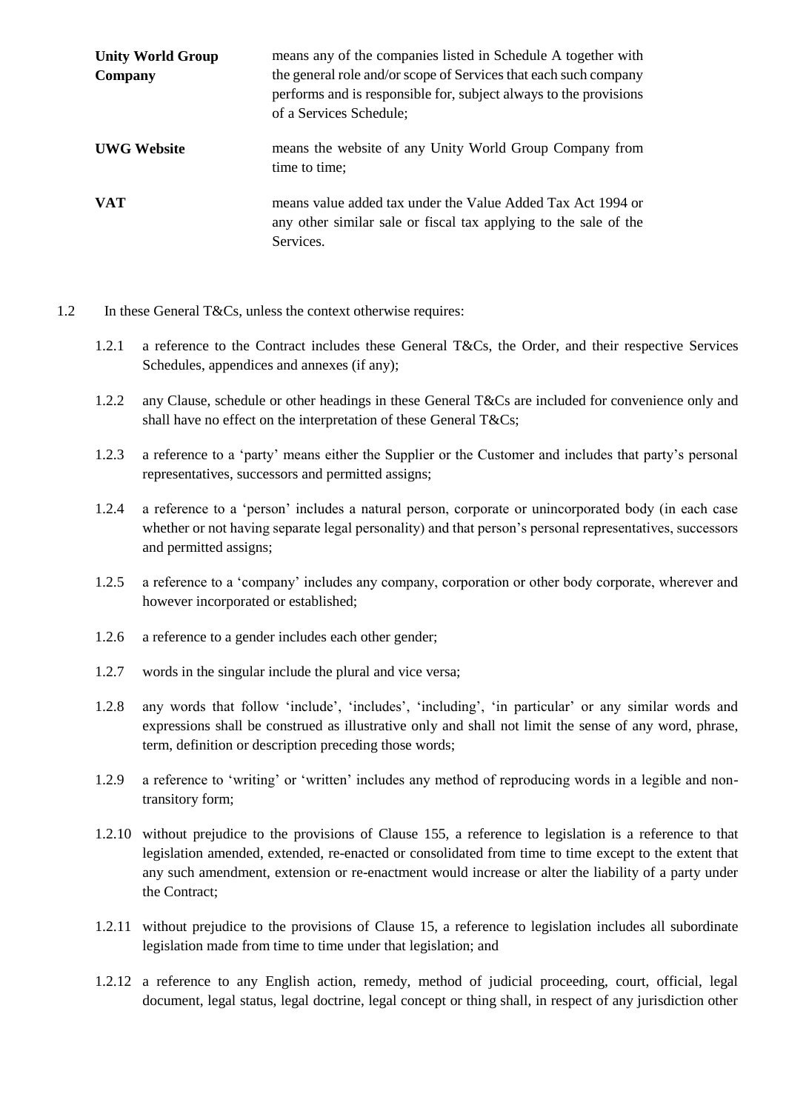| <b>Unity World Group</b> | means any of the companies listed in Schedule A together with                                                                                                    |  |  |  |
|--------------------------|------------------------------------------------------------------------------------------------------------------------------------------------------------------|--|--|--|
| Company                  | the general role and/or scope of Services that each such company<br>performs and is responsible for, subject always to the provisions<br>of a Services Schedule; |  |  |  |
| <b>UWG Website</b>       | means the website of any Unity World Group Company from<br>time to time;                                                                                         |  |  |  |
| <b>VAT</b>               | means value added tax under the Value Added Tax Act 1994 or<br>any other similar sale or fiscal tax applying to the sale of the<br>Services.                     |  |  |  |

- 1.2 In these General T&Cs, unless the context otherwise requires:
	- 1.2.1 a reference to the Contract includes these General T&Cs, the Order, and their respective Services Schedules, appendices and annexes (if any);
	- 1.2.2 any Clause, schedule or other headings in these General T&Cs are included for convenience only and shall have no effect on the interpretation of these General T&Cs;
	- 1.2.3 a reference to a 'party' means either the Supplier or the Customer and includes that party's personal representatives, successors and permitted assigns;
	- 1.2.4 a reference to a 'person' includes a natural person, corporate or unincorporated body (in each case whether or not having separate legal personality) and that person's personal representatives, successors and permitted assigns;
	- 1.2.5 a reference to a 'company' includes any company, corporation or other body corporate, wherever and however incorporated or established;
	- 1.2.6 a reference to a gender includes each other gender;
	- 1.2.7 words in the singular include the plural and vice versa;
	- 1.2.8 any words that follow 'include', 'includes', 'including', 'in particular' or any similar words and expressions shall be construed as illustrative only and shall not limit the sense of any word, phrase, term, definition or description preceding those words;
	- 1.2.9 a reference to 'writing' or 'written' includes any method of reproducing words in a legible and nontransitory form;
	- 1.2.10 without prejudice to the provisions of Clause [155](#page-16-0), a reference to legislation is a reference to that legislation amended, extended, re-enacted or consolidated from time to time except to the extent that any such amendment, extension or re-enactment would increase or alter the liability of a party under the Contract;
	- 1.2.11 without prejudice to the provisions of Clause 15, a reference to legislation includes all subordinate legislation made from time to time under that legislation; and
	- 1.2.12 a reference to any English action, remedy, method of judicial proceeding, court, official, legal document, legal status, legal doctrine, legal concept or thing shall, in respect of any jurisdiction other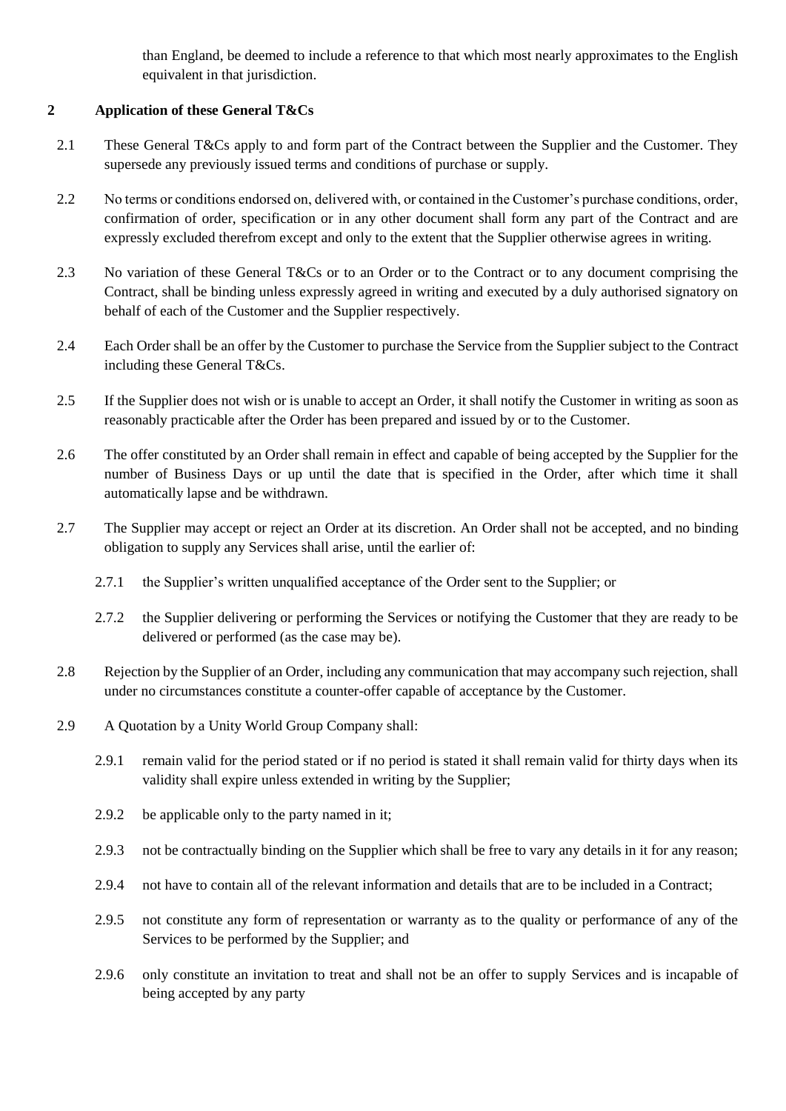than England, be deemed to include a reference to that which most nearly approximates to the English equivalent in that jurisdiction.

# **2 Application of these General T&Cs**

- 2.1 These General T&Cs apply to and form part of the Contract between the Supplier and the Customer. They supersede any previously issued terms and conditions of purchase or supply.
- 2.2 No terms or conditions endorsed on, delivered with, or contained in the Customer's purchase conditions, order, confirmation of order, specification or in any other document shall form any part of the Contract and are expressly excluded therefrom except and only to the extent that the Supplier otherwise agrees in writing.
- 2.3 No variation of these General T&Cs or to an Order or to the Contract or to any document comprising the Contract, shall be binding unless expressly agreed in writing and executed by a duly authorised signatory on behalf of each of the Customer and the Supplier respectively.
- 2.4 Each Order shall be an offer by the Customer to purchase the Service from the Supplier subject to the Contract including these General T&Cs.
- 2.5 If the Supplier does not wish or is unable to accept an Order, it shall notify the Customer in writing as soon as reasonably practicable after the Order has been prepared and issued by or to the Customer.
- 2.6 The offer constituted by an Order shall remain in effect and capable of being accepted by the Supplier for the number of Business Days or up until the date that is specified in the Order, after which time it shall automatically lapse and be withdrawn.
- 2.7 The Supplier may accept or reject an Order at its discretion. An Order shall not be accepted, and no binding obligation to supply any Services shall arise, until the earlier of:
	- 2.7.1 the Supplier's written unqualified acceptance of the Order sent to the Supplier; or
	- 2.7.2 the Supplier delivering or performing the Services or notifying the Customer that they are ready to be delivered or performed (as the case may be).
- 2.8 Rejection by the Supplier of an Order, including any communication that may accompany such rejection, shall under no circumstances constitute a counter-offer capable of acceptance by the Customer.
- 2.9 A Quotation by a Unity World Group Company shall:
	- 2.9.1 remain valid for the period stated or if no period is stated it shall remain valid for thirty days when its validity shall expire unless extended in writing by the Supplier;
	- 2.9.2 be applicable only to the party named in it;
	- 2.9.3 not be contractually binding on the Supplier which shall be free to vary any details in it for any reason;
	- 2.9.4 not have to contain all of the relevant information and details that are to be included in a Contract;
	- 2.9.5 not constitute any form of representation or warranty as to the quality or performance of any of the Services to be performed by the Supplier; and
	- 2.9.6 only constitute an invitation to treat and shall not be an offer to supply Services and is incapable of being accepted by any party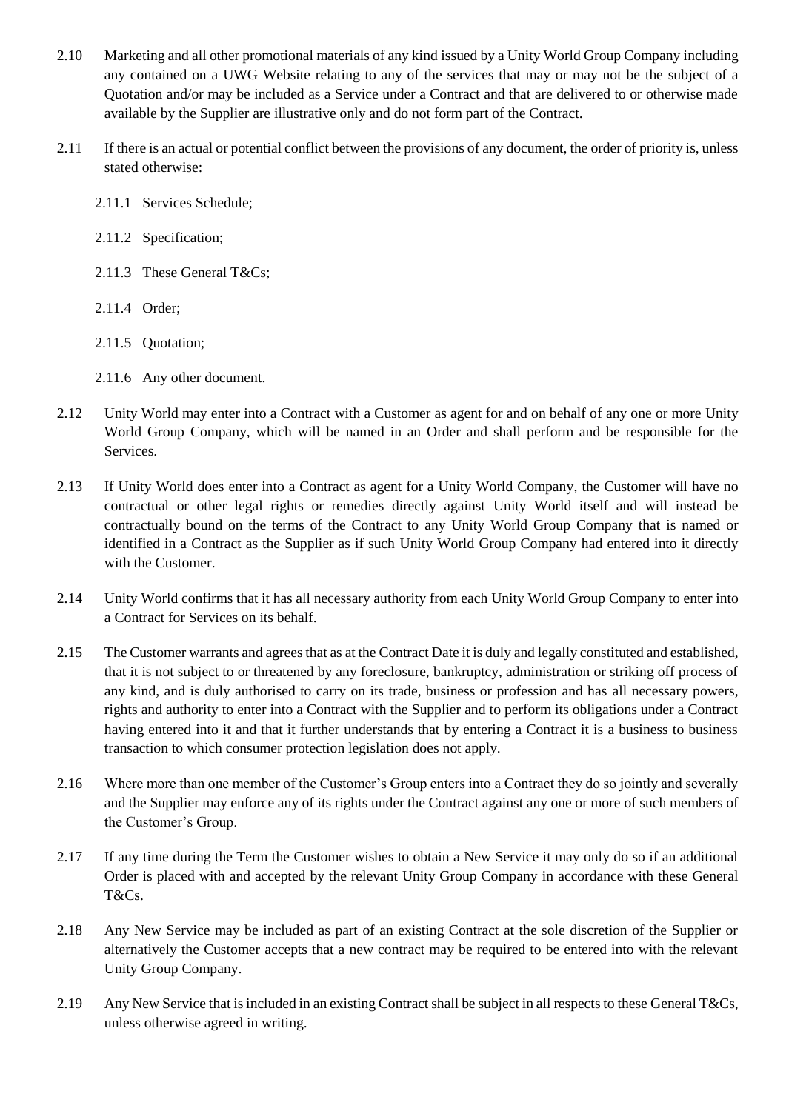- 2.10 Marketing and all other promotional materials of any kind issued by a Unity World Group Company including any contained on a UWG Website relating to any of the services that may or may not be the subject of a Quotation and/or may be included as a Service under a Contract and that are delivered to or otherwise made available by the Supplier are illustrative only and do not form part of the Contract.
- 2.11 If there is an actual or potential conflict between the provisions of any document, the order of priority is, unless stated otherwise:
	- 2.11.1 Services Schedule;
	- 2.11.2 Specification;
	- 2.11.3 These General T&Cs;
	- 2.11.4 Order;
	- 2.11.5 Quotation;
	- 2.11.6 Any other document.
- 2.12 Unity World may enter into a Contract with a Customer as agent for and on behalf of any one or more Unity World Group Company, which will be named in an Order and shall perform and be responsible for the Services.
- 2.13 If Unity World does enter into a Contract as agent for a Unity World Company, the Customer will have no contractual or other legal rights or remedies directly against Unity World itself and will instead be contractually bound on the terms of the Contract to any Unity World Group Company that is named or identified in a Contract as the Supplier as if such Unity World Group Company had entered into it directly with the Customer.
- 2.14 Unity World confirms that it has all necessary authority from each Unity World Group Company to enter into a Contract for Services on its behalf.
- 2.15 The Customer warrants and agrees that as at the Contract Date it is duly and legally constituted and established, that it is not subject to or threatened by any foreclosure, bankruptcy, administration or striking off process of any kind, and is duly authorised to carry on its trade, business or profession and has all necessary powers, rights and authority to enter into a Contract with the Supplier and to perform its obligations under a Contract having entered into it and that it further understands that by entering a Contract it is a business to business transaction to which consumer protection legislation does not apply.
- 2.16 Where more than one member of the Customer's Group enters into a Contract they do so jointly and severally and the Supplier may enforce any of its rights under the Contract against any one or more of such members of the Customer's Group.
- 2.17 If any time during the Term the Customer wishes to obtain a New Service it may only do so if an additional Order is placed with and accepted by the relevant Unity Group Company in accordance with these General T&Cs.
- 2.18 Any New Service may be included as part of an existing Contract at the sole discretion of the Supplier or alternatively the Customer accepts that a new contract may be required to be entered into with the relevant Unity Group Company.
- 2.19 Any New Service that is included in an existing Contract shall be subject in all respects to these General T&Cs, unless otherwise agreed in writing.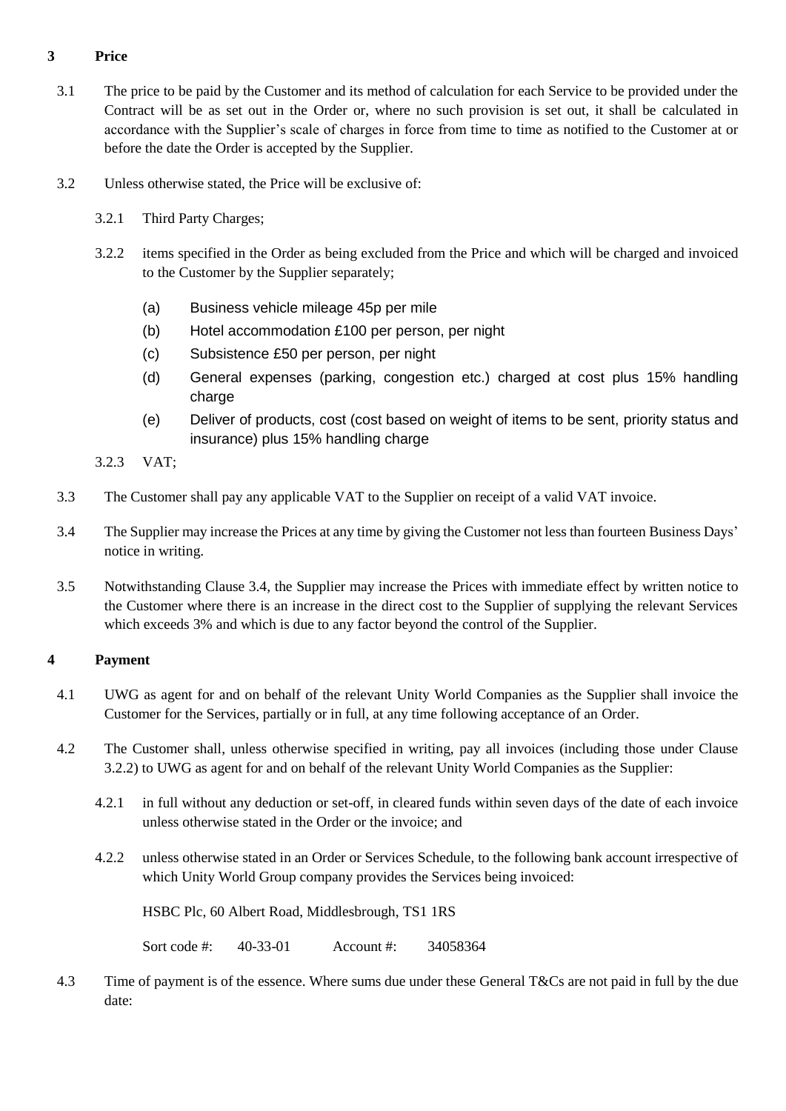# **3 Price**

- 3.1 The price to be paid by the Customer and its method of calculation for each Service to be provided under the Contract will be as set out in the Order or, where no such provision is set out, it shall be calculated in accordance with the Supplier's scale of charges in force from time to time as notified to the Customer at or before the date the Order is accepted by the Supplier.
- <span id="page-8-0"></span>3.2 Unless otherwise stated, the Price will be exclusive of:
	- 3.2.1 Third Party Charges;
	- 3.2.2 items specified in the Order as being excluded from the Price and which will be charged and invoiced to the Customer by the Supplier separately;
		- (a) Business vehicle mileage 45p per mile
		- (b) Hotel accommodation £100 per person, per night
		- (c) Subsistence £50 per person, per night
		- (d) General expenses (parking, congestion etc.) charged at cost plus 15% handling charge
		- (e) Deliver of products, cost (cost based on weight of items to be sent, priority status and insurance) plus 15% handling charge
	- 3.2.3 VAT;
- 3.3 The Customer shall pay any applicable VAT to the Supplier on receipt of a valid VAT invoice.
- <span id="page-8-1"></span>3.4 The Supplier may increase the Prices at any time by giving the Customer not less than fourteen Business Days' notice in writing.
- 3.5 Notwithstanding Clause [3.4,](#page-8-1) the Supplier may increase the Prices with immediate effect by written notice to the Customer where there is an increase in the direct cost to the Supplier of supplying the relevant Services which exceeds 3% and which is due to any factor beyond the control of the Supplier.

# **4 Payment**

- 4.1 UWG as agent for and on behalf of the relevant Unity World Companies as the Supplier shall invoice the Customer for the Services, partially or in full, at any time following acceptance of an Order.
- 4.2 The Customer shall, unless otherwise specified in writing, pay all invoices (including those under Clause 3.2.2) to UWG as agent for and on behalf of the relevant Unity World Companies as the Supplier:
	- 4.2.1 in full without any deduction or set-off, in cleared funds within seven days of the date of each invoice unless otherwise stated in the Order or the invoice; and
	- 4.2.2 unless otherwise stated in an Order or Services Schedule, to the following bank account irrespective of which Unity World Group company provides the Services being invoiced:

HSBC Plc, 60 Albert Road, Middlesbrough, TS1 1RS

Sort code #: 40-33-01 Account #: 34058364

4.3 Time of payment is of the essence. Where sums due under these General T&Cs are not paid in full by the due date: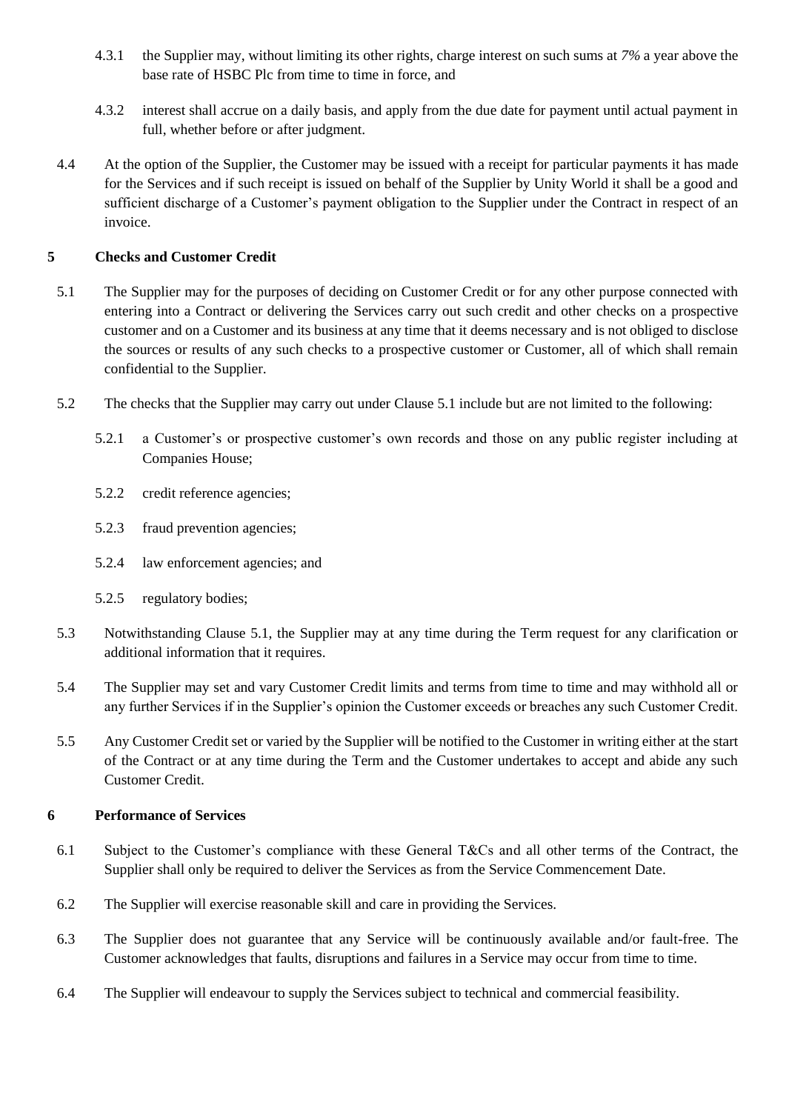- 4.3.1 the Supplier may, without limiting its other rights, charge interest on such sums at *7%* a year above the base rate of HSBC Plc from time to time in force, and
- 4.3.2 interest shall accrue on a daily basis, and apply from the due date for payment until actual payment in full, whether before or after judgment.
- 4.4 At the option of the Supplier, the Customer may be issued with a receipt for particular payments it has made for the Services and if such receipt is issued on behalf of the Supplier by Unity World it shall be a good and sufficient discharge of a Customer's payment obligation to the Supplier under the Contract in respect of an invoice.

# **5 Checks and Customer Credit**

- 5.1 The Supplier may for the purposes of deciding on Customer Credit or for any other purpose connected with entering into a Contract or delivering the Services carry out such credit and other checks on a prospective customer and on a Customer and its business at any time that it deems necessary and is not obliged to disclose the sources or results of any such checks to a prospective customer or Customer, all of which shall remain confidential to the Supplier.
- 5.2 The checks that the Supplier may carry out under Clause 5.1 include but are not limited to the following:
	- 5.2.1 a Customer's or prospective customer's own records and those on any public register including at Companies House;
	- 5.2.2 credit reference agencies;
	- 5.2.3 fraud prevention agencies;
	- 5.2.4 law enforcement agencies; and
	- 5.2.5 regulatory bodies;
- 5.3 Notwithstanding Clause 5.1, the Supplier may at any time during the Term request for any clarification or additional information that it requires.
- 5.4 The Supplier may set and vary Customer Credit limits and terms from time to time and may withhold all or any further Services if in the Supplier's opinion the Customer exceeds or breaches any such Customer Credit.
- 5.5 Any Customer Credit set or varied by the Supplier will be notified to the Customer in writing either at the start of the Contract or at any time during the Term and the Customer undertakes to accept and abide any such Customer Credit.

# **6 Performance of Services**

- 6.1 Subject to the Customer's compliance with these General T&Cs and all other terms of the Contract, the Supplier shall only be required to deliver the Services as from the Service Commencement Date.
- 6.2 The Supplier will exercise reasonable skill and care in providing the Services.
- 6.3 The Supplier does not guarantee that any Service will be continuously available and/or fault-free. The Customer acknowledges that faults, disruptions and failures in a Service may occur from time to time.
- 6.4 The Supplier will endeavour to supply the Services subject to technical and commercial feasibility.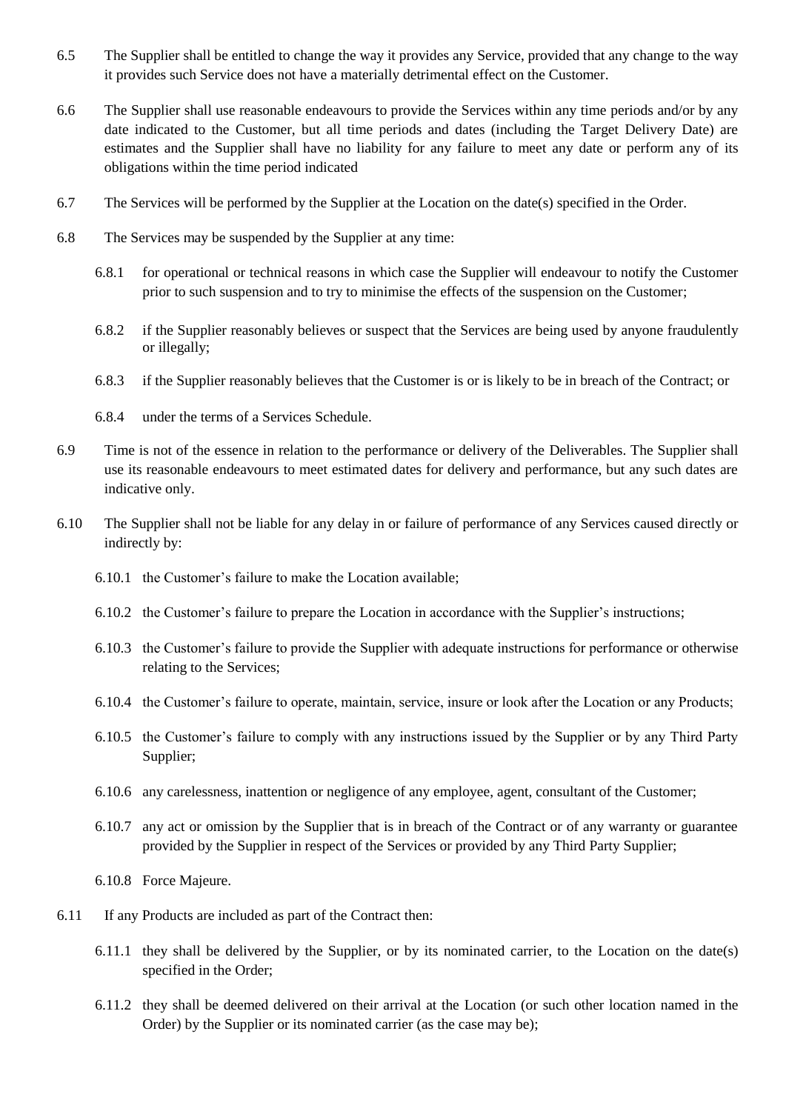- 6.5 The Supplier shall be entitled to change the way it provides any Service, provided that any change to the way it provides such Service does not have a materially detrimental effect on the Customer.
- 6.6 The Supplier shall use reasonable endeavours to provide the Services within any time periods and/or by any date indicated to the Customer, but all time periods and dates (including the Target Delivery Date) are estimates and the Supplier shall have no liability for any failure to meet any date or perform any of its obligations within the time period indicated
- 6.7 The Services will be performed by the Supplier at the Location on the date(s) specified in the Order.
- 6.8 The Services may be suspended by the Supplier at any time:
	- 6.8.1 for operational or technical reasons in which case the Supplier will endeavour to notify the Customer prior to such suspension and to try to minimise the effects of the suspension on the Customer;
	- 6.8.2 if the Supplier reasonably believes or suspect that the Services are being used by anyone fraudulently or illegally;
	- 6.8.3 if the Supplier reasonably believes that the Customer is or is likely to be in breach of the Contract; or
	- 6.8.4 under the terms of a Services Schedule.
- 6.9 Time is not of the essence in relation to the performance or delivery of the Deliverables. The Supplier shall use its reasonable endeavours to meet estimated dates for delivery and performance, but any such dates are indicative only.
- 6.10 The Supplier shall not be liable for any delay in or failure of performance of any Services caused directly or indirectly by:
	- 6.10.1 the Customer's failure to make the Location available;
	- 6.10.2 the Customer's failure to prepare the Location in accordance with the Supplier's instructions;
	- 6.10.3 the Customer's failure to provide the Supplier with adequate instructions for performance or otherwise relating to the Services;
	- 6.10.4 the Customer's failure to operate, maintain, service, insure or look after the Location or any Products;
	- 6.10.5 the Customer's failure to comply with any instructions issued by the Supplier or by any Third Party Supplier;
	- 6.10.6 any carelessness, inattention or negligence of any employee, agent, consultant of the Customer;
	- 6.10.7 any act or omission by the Supplier that is in breach of the Contract or of any warranty or guarantee provided by the Supplier in respect of the Services or provided by any Third Party Supplier;
	- 6.10.8 Force Majeure.
- 6.11 If any Products are included as part of the Contract then:
	- 6.11.1 they shall be delivered by the Supplier, or by its nominated carrier, to the Location on the date(s) specified in the Order;
	- 6.11.2 they shall be deemed delivered on their arrival at the Location (or such other location named in the Order) by the Supplier or its nominated carrier (as the case may be);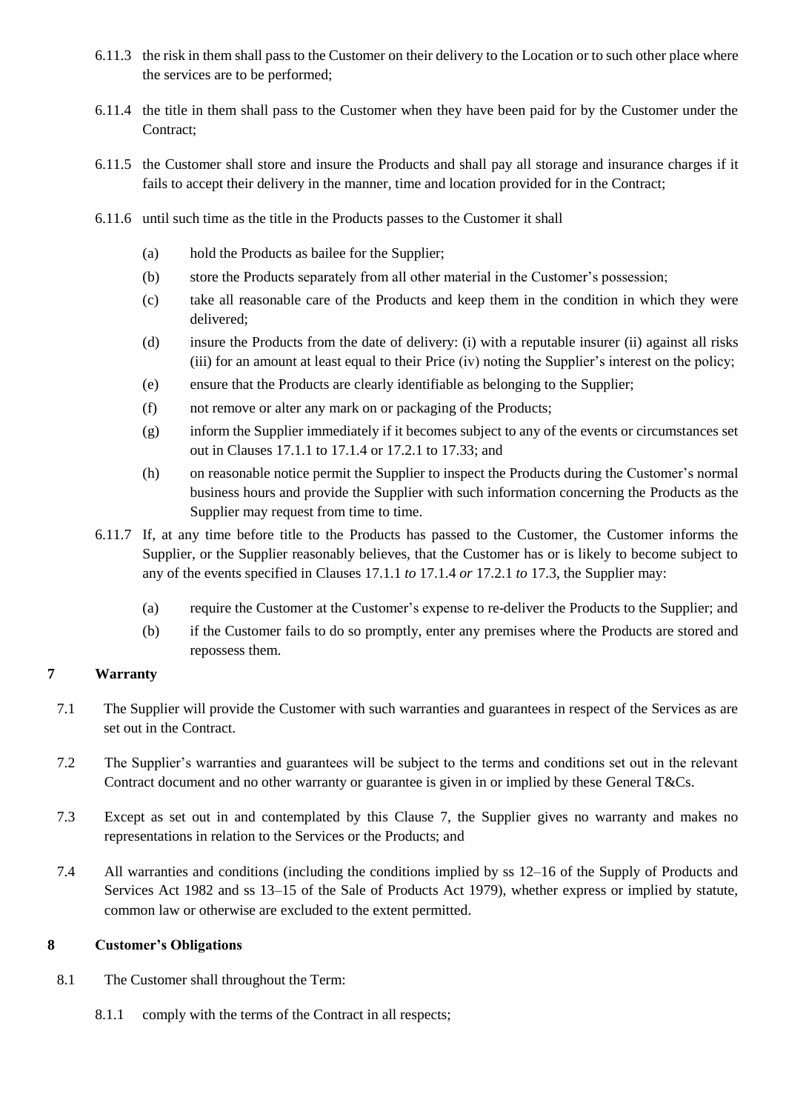- 6.11.3 the risk in them shall pass to the Customer on their delivery to the Location or to such other place where the services are to be performed;
- 6.11.4 the title in them shall pass to the Customer when they have been paid for by the Customer under the Contract:
- 6.11.5 the Customer shall store and insure the Products and shall pay all storage and insurance charges if it fails to accept their delivery in the manner, time and location provided for in the Contract;
- 6.11.6 until such time as the title in the Products passes to the Customer it shall
	- (a) hold the Products as bailee for the Supplier;
	- (b) store the Products separately from all other material in the Customer's possession;
	- (c) take all reasonable care of the Products and keep them in the condition in which they were delivered;
	- (d) insure the Products from the date of delivery: (i) with a reputable insurer (ii) against all risks (iii) for an amount at least equal to their Price (iv) noting the Supplier's interest on the policy;
	- (e) ensure that the Products are clearly identifiable as belonging to the Supplier;
	- (f) not remove or alter any mark on or packaging of the Products;
	- (g) inform the Supplier immediately if it becomes subject to any of the events or circumstances set out in Clauses [17.1.1](#page-16-1) t[o 17.1.4](#page-17-0) or [17.2.1](#page-17-1) to [17.33](#page-17-2); and
	- (h) on reasonable notice permit the Supplier to inspect the Products during the Customer's normal business hours and provide the Supplier with such information concerning the Products as the Supplier may request from time to time.
- 6.11.7 If, at any time before title to the Products has passed to the Customer, the Customer informs the Supplier, or the Supplier reasonably believes, that the Customer has or is likely to become subject to any of the events specified in Clauses [17.1.1](#page-16-1) *to* [17.1.4](#page-17-0) *or* [17.2.1](#page-17-1) *to* [17.3,](#page-17-2) the Supplier may:
	- (a) require the Customer at the Customer's expense to re-deliver the Products to the Supplier; and
	- (b) if the Customer fails to do so promptly, enter any premises where the Products are stored and repossess them.

# **7 Warranty**

- 7.1 The Supplier will provide the Customer with such warranties and guarantees in respect of the Services as are set out in the Contract.
- 7.2 The Supplier's warranties and guarantees will be subject to the terms and conditions set out in the relevant Contract document and no other warranty or guarantee is given in or implied by these General T&Cs.
- 7.3 Except as set out in and contemplated by this Clause 7, the Supplier gives no warranty and makes no representations in relation to the Services or the Products; and
- 7.4 All warranties and conditions (including the conditions implied by ss 12–16 of the Supply of Products and Services Act 1982 and ss 13–15 of the Sale of Products Act 1979), whether express or implied by statute, common law or otherwise are excluded to the extent permitted.

# **8 Customer's Obligations**

- 8.1 The Customer shall throughout the Term:
	- 8.1.1 comply with the terms of the Contract in all respects;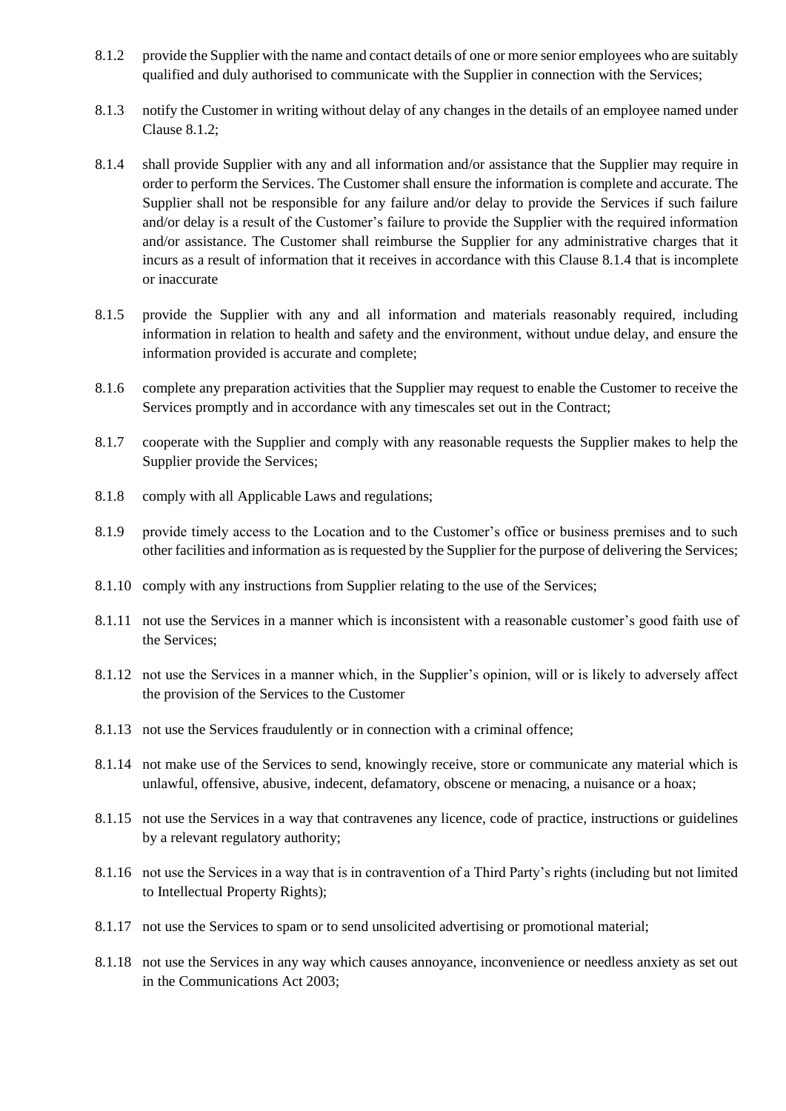- 8.1.2 provide the Supplier with the name and contact details of one or more senior employees who are suitably qualified and duly authorised to communicate with the Supplier in connection with the Services;
- 8.1.3 notify the Customer in writing without delay of any changes in the details of an employee named under Clause 8.1.2;
- 8.1.4 shall provide Supplier with any and all information and/or assistance that the Supplier may require in order to perform the Services. The Customer shall ensure the information is complete and accurate. The Supplier shall not be responsible for any failure and/or delay to provide the Services if such failure and/or delay is a result of the Customer's failure to provide the Supplier with the required information and/or assistance. The Customer shall reimburse the Supplier for any administrative charges that it incurs as a result of information that it receives in accordance with this Clause 8.1.4 that is incomplete or inaccurate
- 8.1.5 provide the Supplier with any and all information and materials reasonably required, including information in relation to health and safety and the environment, without undue delay, and ensure the information provided is accurate and complete;
- 8.1.6 complete any preparation activities that the Supplier may request to enable the Customer to receive the Services promptly and in accordance with any timescales set out in the Contract;
- 8.1.7 cooperate with the Supplier and comply with any reasonable requests the Supplier makes to help the Supplier provide the Services;
- 8.1.8 comply with all Applicable Laws and regulations;
- 8.1.9 provide timely access to the Location and to the Customer's office or business premises and to such other facilities and information as is requested by the Supplier for the purpose of delivering the Services;
- 8.1.10 comply with any instructions from Supplier relating to the use of the Services;
- 8.1.11 not use the Services in a manner which is inconsistent with a reasonable customer's good faith use of the Services;
- 8.1.12 not use the Services in a manner which, in the Supplier's opinion, will or is likely to adversely affect the provision of the Services to the Customer
- 8.1.13 not use the Services fraudulently or in connection with a criminal offence;
- 8.1.14 not make use of the Services to send, knowingly receive, store or communicate any material which is unlawful, offensive, abusive, indecent, defamatory, obscene or menacing, a nuisance or a hoax;
- 8.1.15 not use the Services in a way that contravenes any licence, code of practice, instructions or guidelines by a relevant regulatory authority;
- 8.1.16 not use the Services in a way that is in contravention of a Third Party's rights (including but not limited to Intellectual Property Rights);
- 8.1.17 not use the Services to spam or to send unsolicited advertising or promotional material;
- 8.1.18 not use the Services in any way which causes annoyance, inconvenience or needless anxiety as set out in the Communications Act 2003;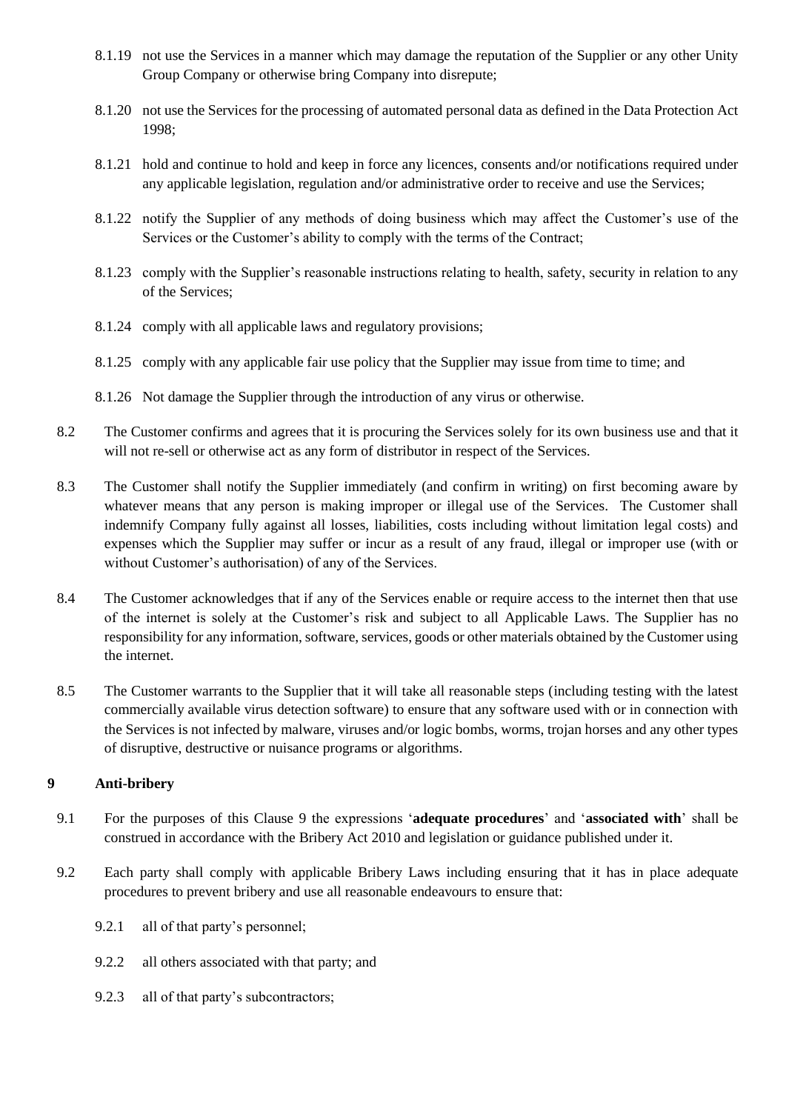- 8.1.19 not use the Services in a manner which may damage the reputation of the Supplier or any other Unity Group Company or otherwise bring Company into disrepute;
- 8.1.20 not use the Services for the processing of automated personal data as defined in the Data Protection Act 1998;
- 8.1.21 hold and continue to hold and keep in force any licences, consents and/or notifications required under any applicable legislation, regulation and/or administrative order to receive and use the Services;
- 8.1.22 notify the Supplier of any methods of doing business which may affect the Customer's use of the Services or the Customer's ability to comply with the terms of the Contract;
- 8.1.23 comply with the Supplier's reasonable instructions relating to health, safety, security in relation to any of the Services;
- 8.1.24 comply with all applicable laws and regulatory provisions;
- 8.1.25 comply with any applicable fair use policy that the Supplier may issue from time to time; and
- 8.1.26 Not damage the Supplier through the introduction of any virus or otherwise.
- 8.2 The Customer confirms and agrees that it is procuring the Services solely for its own business use and that it will not re-sell or otherwise act as any form of distributor in respect of the Services.
- 8.3 The Customer shall notify the Supplier immediately (and confirm in writing) on first becoming aware by whatever means that any person is making improper or illegal use of the Services. The Customer shall indemnify Company fully against all losses, liabilities, costs including without limitation legal costs) and expenses which the Supplier may suffer or incur as a result of any fraud, illegal or improper use (with or without Customer's authorisation) of any of the Services.
- 8.4 The Customer acknowledges that if any of the Services enable or require access to the internet then that use of the internet is solely at the Customer's risk and subject to all Applicable Laws. The Supplier has no responsibility for any information, software, services, goods or other materials obtained by the Customer using the internet.
- 8.5 The Customer warrants to the Supplier that it will take all reasonable steps (including testing with the latest commercially available virus detection software) to ensure that any software used with or in connection with the Services is not infected by malware, viruses and/or logic bombs, worms, trojan horses and any other types of disruptive, destructive or nuisance programs or algorithms.

# **9 Anti-bribery**

- <span id="page-13-0"></span>9.1 For the purposes of this Clause [9](#page-13-0) the expressions '**adequate procedures**' and '**associated with**' shall be construed in accordance with the Bribery Act 2010 and legislation or guidance published under it.
- <span id="page-13-1"></span>9.2 Each party shall comply with applicable Bribery Laws including ensuring that it has in place adequate procedures to prevent bribery and use all reasonable endeavours to ensure that:
	- 9.2.1 all of that party's personnel;
	- 9.2.2 all others associated with that party; and
	- 9.2.3 all of that party's subcontractors;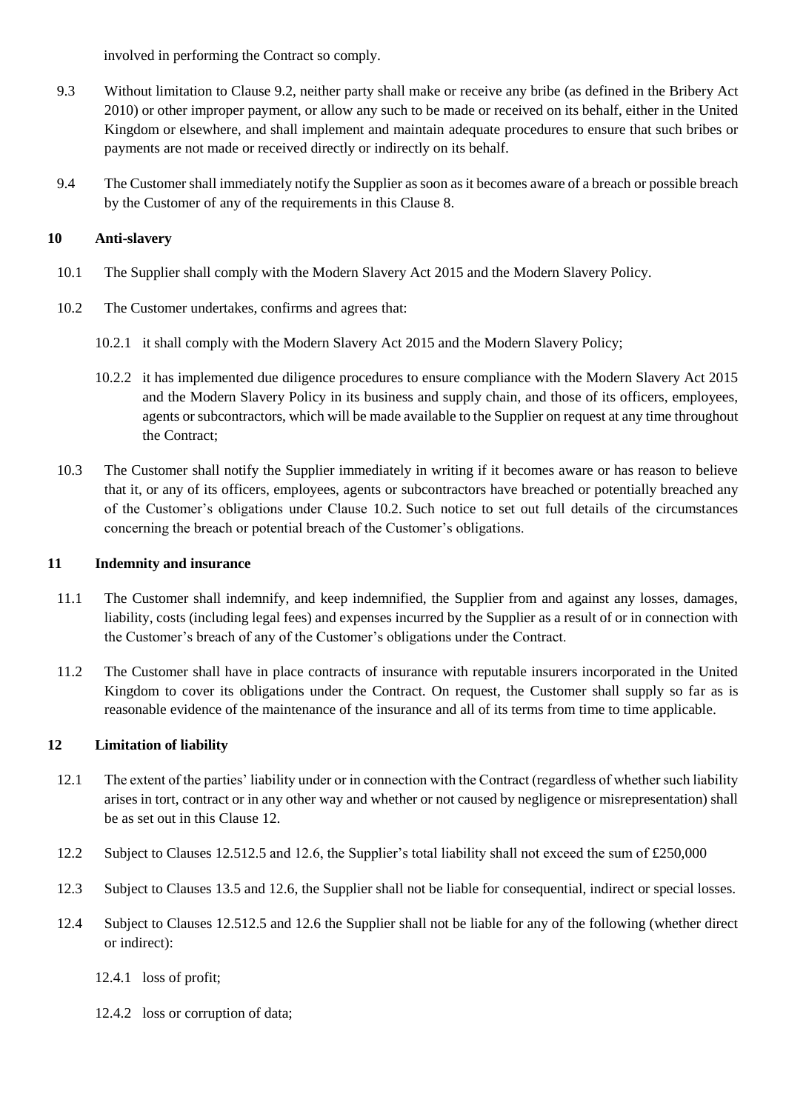involved in performing the Contract so comply.

- 9.3 Without limitation to Clause [9.2,](#page-13-1) neither party shall make or receive any bribe (as defined in the Bribery Act 2010) or other improper payment, or allow any such to be made or received on its behalf, either in the United Kingdom or elsewhere, and shall implement and maintain adequate procedures to ensure that such bribes or payments are not made or received directly or indirectly on its behalf.
- 9.4 The Customer shall immediately notify the Supplier as soon as it becomes aware of a breach or possible breach by the Customer of any of the requirements in this Clause 8.

# **10 Anti-slavery**

- 10.1 The Supplier shall comply with the Modern Slavery Act 2015 and the Modern Slavery Policy.
- 10.2 The Customer undertakes, confirms and agrees that:
	- 10.2.1 it shall comply with the Modern Slavery Act 2015 and the Modern Slavery Policy;
	- 10.2.2 it has implemented due diligence procedures to ensure compliance with the Modern Slavery Act 2015 and the Modern Slavery Policy in its business and supply chain, and those of its officers, employees, agents or subcontractors, which will be made available to the Supplier on request at any time throughout the Contract;
- 10.3 The Customer shall notify the Supplier immediately in writing if it becomes aware or has reason to believe that it, or any of its officers, employees, agents or subcontractors have breached or potentially breached any of the Customer's obligations under Clause 10.2. Such notice to set out full details of the circumstances concerning the breach or potential breach of the Customer's obligations.

#### **11 Indemnity and insurance**

- 11.1 The Customer shall indemnify, and keep indemnified, the Supplier from and against any losses, damages, liability, costs (including legal fees) and expenses incurred by the Supplier as a result of or in connection with the Customer's breach of any of the Customer's obligations under the Contract.
- 11.2 The Customer shall have in place contracts of insurance with reputable insurers incorporated in the United Kingdom to cover its obligations under the Contract. On request, the Customer shall supply so far as is reasonable evidence of the maintenance of the insurance and all of its terms from time to time applicable.

#### **12 Limitation of liability**

- 12.1 The extent of the parties' liability under or in connection with the Contract (regardless of whether such liability arises in tort, contract or in any other way and whether or not caused by negligence or misrepresentation) shall be as set out in this Clause 12.
- 12.2 Subject to Clauses 12.[512.5](#page-15-0) and 12.6, the Supplier's total liability shall not exceed the sum of £250,000
- 12.3 Subject to Clauses 13.5 and [12.6,](#page-15-1) the Supplier shall not be liable for consequential, indirect or special losses.
- 12.4 Subject to Clauses [12.51](#page-15-0)2.5 and 12.6 the Supplier shall not be liable for any of the following (whether direct or indirect):
	- 12.4.1 loss of profit;
	- 12.4.2 loss or corruption of data;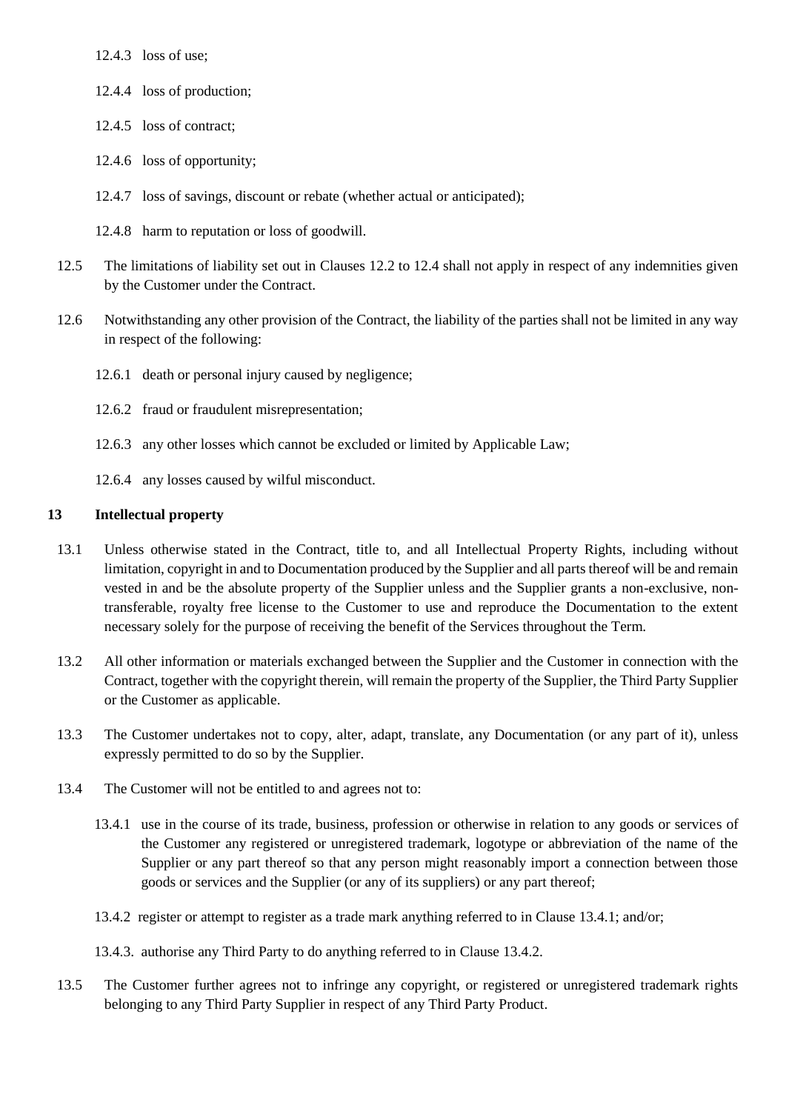12.4.3 loss of use;

- 12.4.4 loss of production;
- 12.4.5 loss of contract;
- 12.4.6 loss of opportunity;
- 12.4.7 loss of savings, discount or rebate (whether actual or anticipated);
- <span id="page-15-1"></span><span id="page-15-0"></span>12.4.8 harm to reputation or loss of goodwill.
- 12.5 The limitations of liability set out in Clauses 12.2 to 12.4 shall not apply in respect of any indemnities given by the Customer under the Contract.
- 12.6 Notwithstanding any other provision of the Contract, the liability of the parties shall not be limited in any way in respect of the following:
	- 12.6.1 death or personal injury caused by negligence;
	- 12.6.2 fraud or fraudulent misrepresentation;
	- 12.6.3 any other losses which cannot be excluded or limited by Applicable Law;
	- 12.6.4 any losses caused by wilful misconduct.

#### **13 Intellectual property**

- 13.1 Unless otherwise stated in the Contract, title to, and all Intellectual Property Rights, including without limitation, copyright in and to Documentation produced by the Supplier and all parts thereof will be and remain vested in and be the absolute property of the Supplier unless and the Supplier grants a non-exclusive, nontransferable, royalty free license to the Customer to use and reproduce the Documentation to the extent necessary solely for the purpose of receiving the benefit of the Services throughout the Term.
- 13.2 All other information or materials exchanged between the Supplier and the Customer in connection with the Contract, together with the copyright therein, will remain the property of the Supplier, the Third Party Supplier or the Customer as applicable.
- 13.3 The Customer undertakes not to copy, alter, adapt, translate, any Documentation (or any part of it), unless expressly permitted to do so by the Supplier.
- 13.4 The Customer will not be entitled to and agrees not to:
	- 13.4.1 use in the course of its trade, business, profession or otherwise in relation to any goods or services of the Customer any registered or unregistered trademark, logotype or abbreviation of the name of the Supplier or any part thereof so that any person might reasonably import a connection between those goods or services and the Supplier (or any of its suppliers) or any part thereof;
	- 13.4.2 register or attempt to register as a trade mark anything referred to in Clause 13.4.1; and/or;
	- 13.4.3. authorise any Third Party to do anything referred to in Clause 13.4.2.
- 13.5 The Customer further agrees not to infringe any copyright, or registered or unregistered trademark rights belonging to any Third Party Supplier in respect of any Third Party Product.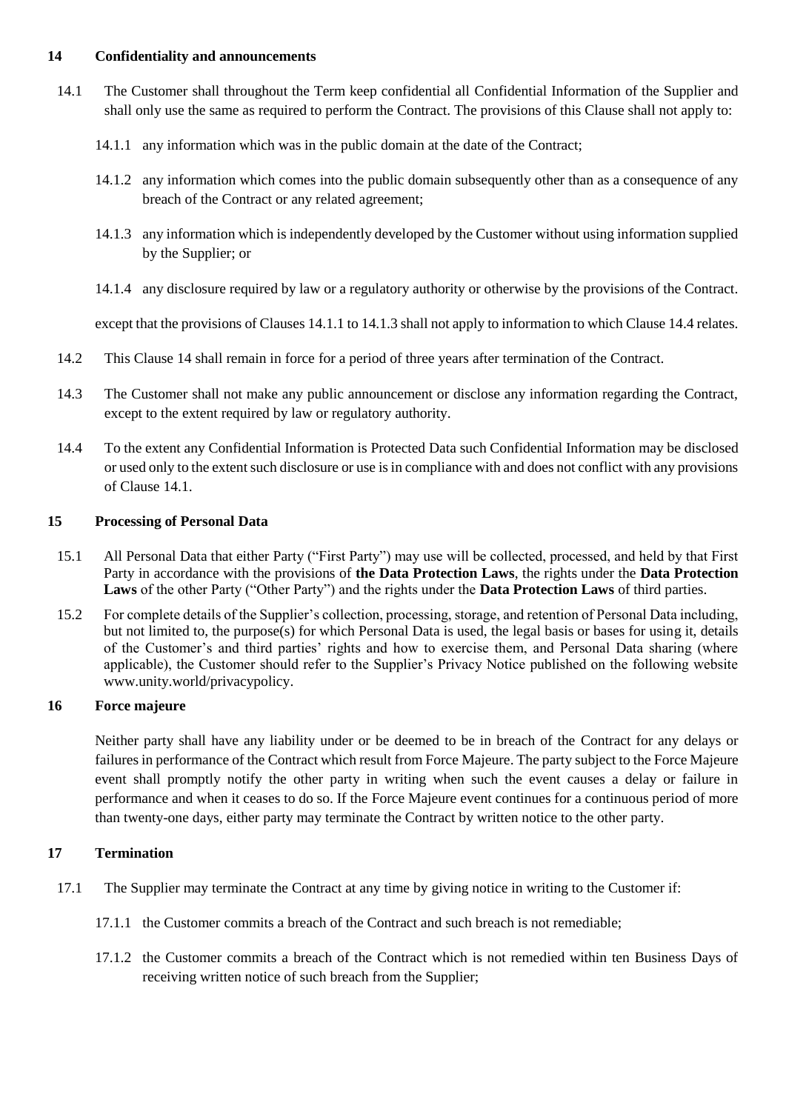#### **14 Confidentiality and announcements**

- 14.1 The Customer shall throughout the Term keep confidential all Confidential Information of the Supplier and shall only use the same as required to perform the Contract. The provisions of this Clause shall not apply to:
	- 14.1.1 any information which was in the public domain at the date of the Contract;
	- 14.1.2 any information which comes into the public domain subsequently other than as a consequence of any breach of the Contract or any related agreement;
	- 14.1.3 any information which is independently developed by the Customer without using information supplied by the Supplier; or
	- 14.1.4 any disclosure required by law or a regulatory authority or otherwise by the provisions of the Contract.

except that the provisions of Clauses 14.1.1 to 14.1.3 shall not apply to information to which Clause 14.4 relates.

- 14.2 This Clause 14 shall remain in force for a period of three years after termination of the Contract.
- 14.3 The Customer shall not make any public announcement or disclose any information regarding the Contract, except to the extent required by law or regulatory authority.
- 14.4 To the extent any Confidential Information is Protected Data such Confidential Information may be disclosed or used only to the extent such disclosure or use is in compliance with and does not conflict with any provisions of Clause 14.1.

# **15 Processing of Personal Data**

- <span id="page-16-0"></span>15.1 All Personal Data that either Party ("First Party") may use will be collected, processed, and held by that First Party in accordance with the provisions of **the Data Protection Laws**, the rights under the **Data Protection Laws** of the other Party ("Other Party") and the rights under the **Data Protection Laws** of third parties.
- 15.2 For complete details of the Supplier's collection, processing, storage, and retention of Personal Data including, but not limited to, the purpose(s) for which Personal Data is used, the legal basis or bases for using it, details of the Customer's and third parties' rights and how to exercise them, and Personal Data sharing (where applicable), the Customer should refer to the Supplier's Privacy Notice published on the following website www.unity.world/privacypolicy.

# **16 Force majeure**

<span id="page-16-1"></span>Neither party shall have any liability under or be deemed to be in breach of the Contract for any delays or failures in performance of the Contract which result from Force Majeure. The party subject to the Force Majeure event shall promptly notify the other party in writing when such the event causes a delay or failure in performance and when it ceases to do so. If the Force Majeure event continues for a continuous period of more than twenty-one days, either party may terminate the Contract by written notice to the other party.

# **17 Termination**

- 17.1 The Supplier may terminate the Contract at any time by giving notice in writing to the Customer if:
	- 17.1.1 the Customer commits a breach of the Contract and such breach is not remediable;
	- 17.1.2 the Customer commits a breach of the Contract which is not remedied within ten Business Days of receiving written notice of such breach from the Supplier;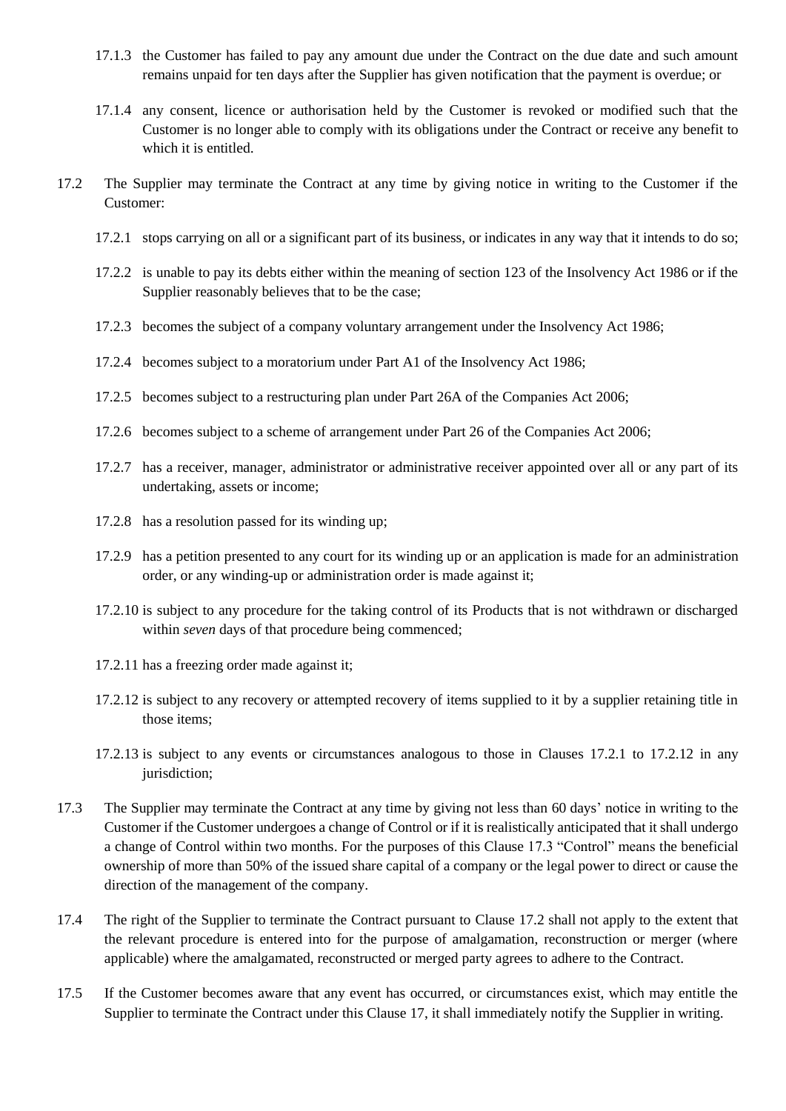- 17.1.3 the Customer has failed to pay any amount due under the Contract on the due date and such amount remains unpaid for ten days after the Supplier has given notification that the payment is overdue; or
- <span id="page-17-1"></span><span id="page-17-0"></span>17.1.4 any consent, licence or authorisation held by the Customer is revoked or modified such that the Customer is no longer able to comply with its obligations under the Contract or receive any benefit to which it is entitled.
- 17.2 The Supplier may terminate the Contract at any time by giving notice in writing to the Customer if the Customer:
	- 17.2.1 stops carrying on all or a significant part of its business, or indicates in any way that it intends to do so;
	- 17.2.2 is unable to pay its debts either within the meaning of section 123 of the Insolvency Act 1986 or if the Supplier reasonably believes that to be the case;
	- 17.2.3 becomes the subject of a company voluntary arrangement under the Insolvency Act 1986;
	- 17.2.4 becomes subject to a moratorium under Part A1 of the Insolvency Act 1986;
	- 17.2.5 becomes subject to a restructuring plan under Part 26A of the Companies Act 2006;
	- 17.2.6 becomes subject to a scheme of arrangement under Part 26 of the Companies Act 2006;
	- 17.2.7 has a receiver, manager, administrator or administrative receiver appointed over all or any part of its undertaking, assets or income;
	- 17.2.8 has a resolution passed for its winding up;
	- 17.2.9 has a petition presented to any court for its winding up or an application is made for an administration order, or any winding-up or administration order is made against it;
	- 17.2.10 is subject to any procedure for the taking control of its Products that is not withdrawn or discharged within *seven* days of that procedure being commenced:
	- 17.2.11 has a freezing order made against it;
	- 17.2.12 is subject to any recovery or attempted recovery of items supplied to it by a supplier retaining title in those items;
	- 17.2.13 is subject to any events or circumstances analogous to those in Clauses 17.2.1 to 17.2.12 in any jurisdiction:
- <span id="page-17-2"></span>17.3 The Supplier may terminate the Contract at any time by giving not less than 60 days' notice in writing to the Customer if the Customer undergoes a change of Control or if it is realistically anticipated that it shall undergo a change of Control within two months. For the purposes of this Clause 17.3 "Control" means the beneficial ownership of more than 50% of the issued share capital of a company or the legal power to direct or cause the direction of the management of the company.
- 17.4 The right of the Supplier to terminate the Contract pursuant to Clause 17.2 shall not apply to the extent that the relevant procedure is entered into for the purpose of amalgamation, reconstruction or merger (where applicable) where the amalgamated, reconstructed or merged party agrees to adhere to the Contract.
- 17.5 If the Customer becomes aware that any event has occurred, or circumstances exist, which may entitle the Supplier to terminate the Contract under this Clause 17, it shall immediately notify the Supplier in writing.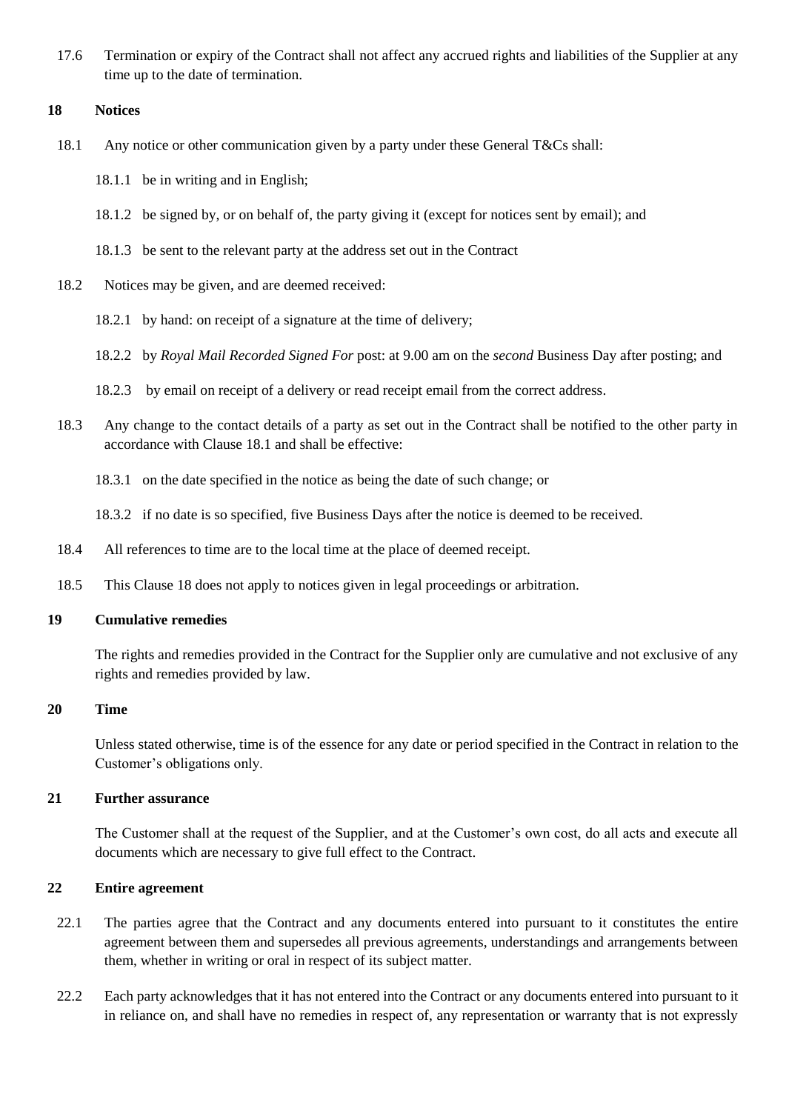17.6 Termination or expiry of the Contract shall not affect any accrued rights and liabilities of the Supplier at any time up to the date of termination.

#### **18 Notices**

- 18.1 Any notice or other communication given by a party under these General T&Cs shall:
	- 18.1.1 be in writing and in English;
	- 18.1.2 be signed by, or on behalf of, the party giving it (except for notices sent by email); and
	- 18.1.3 be sent to the relevant party at the address set out in the Contract
- 18.2 Notices may be given, and are deemed received:
	- 18.2.1 by hand: on receipt of a signature at the time of delivery;
	- 18.2.2 by *Royal Mail Recorded Signed For* post: at 9.00 am on the *second* Business Day after posting; and
	- 18.2.3 by email on receipt of a delivery or read receipt email from the correct address.
- 18.3 Any change to the contact details of a party as set out in the Contract shall be notified to the other party in accordance with Clause 18.1 and shall be effective:
	- 18.3.1 on the date specified in the notice as being the date of such change; or
	- 18.3.2 if no date is so specified, five Business Days after the notice is deemed to be received.
- 18.4 All references to time are to the local time at the place of deemed receipt.
- 18.5 This Clause 18 does not apply to notices given in legal proceedings or arbitration.

#### **19 Cumulative remedies**

The rights and remedies provided in the Contract for the Supplier only are cumulative and not exclusive of any rights and remedies provided by law.

#### **20 Time**

Unless stated otherwise, time is of the essence for any date or period specified in the Contract in relation to the Customer's obligations only.

#### **21 Further assurance**

The Customer shall at the request of the Supplier, and at the Customer's own cost, do all acts and execute all documents which are necessary to give full effect to the Contract.

#### **22 Entire agreement**

- 22.1 The parties agree that the Contract and any documents entered into pursuant to it constitutes the entire agreement between them and supersedes all previous agreements, understandings and arrangements between them, whether in writing or oral in respect of its subject matter.
- 22.2 Each party acknowledges that it has not entered into the Contract or any documents entered into pursuant to it in reliance on, and shall have no remedies in respect of, any representation or warranty that is not expressly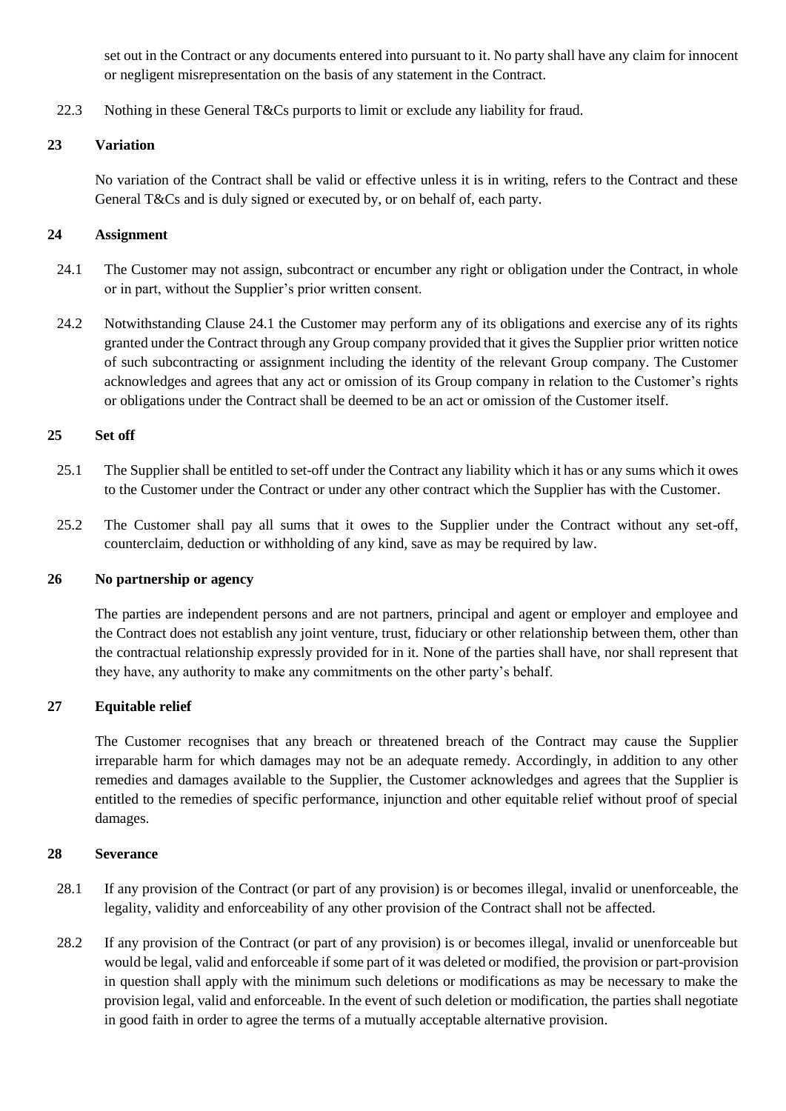set out in the Contract or any documents entered into pursuant to it. No party shall have any claim for innocent or negligent misrepresentation on the basis of any statement in the Contract.

22.3 Nothing in these General T&Cs purports to limit or exclude any liability for fraud.

# **23 Variation**

No variation of the Contract shall be valid or effective unless it is in writing, refers to the Contract and these General T&Cs and is duly signed or executed by, or on behalf of, each party.

# **24 Assignment**

- 24.1 The Customer may not assign, subcontract or encumber any right or obligation under the Contract, in whole or in part, without the Supplier's prior written consent.
- 24.2 Notwithstanding Clause 24.1 the Customer may perform any of its obligations and exercise any of its rights granted under the Contract through any Group company provided that it gives the Supplier prior written notice of such subcontracting or assignment including the identity of the relevant Group company. The Customer acknowledges and agrees that any act or omission of its Group company in relation to the Customer's rights or obligations under the Contract shall be deemed to be an act or omission of the Customer itself.

# **25 Set off**

- 25.1 The Supplier shall be entitled to set-off under the Contract any liability which it has or any sums which it owes to the Customer under the Contract or under any other contract which the Supplier has with the Customer.
- 25.2 The Customer shall pay all sums that it owes to the Supplier under the Contract without any set-off, counterclaim, deduction or withholding of any kind, save as may be required by law.

# **26 No partnership or agency**

The parties are independent persons and are not partners, principal and agent or employer and employee and the Contract does not establish any joint venture, trust, fiduciary or other relationship between them, other than the contractual relationship expressly provided for in it. None of the parties shall have, nor shall represent that they have, any authority to make any commitments on the other party's behalf.

# **27 Equitable relief**

The Customer recognises that any breach or threatened breach of the Contract may cause the Supplier irreparable harm for which damages may not be an adequate remedy. Accordingly, in addition to any other remedies and damages available to the Supplier, the Customer acknowledges and agrees that the Supplier is entitled to the remedies of specific performance, injunction and other equitable relief without proof of special damages.

# **28 Severance**

- 28.1 If any provision of the Contract (or part of any provision) is or becomes illegal, invalid or unenforceable, the legality, validity and enforceability of any other provision of the Contract shall not be affected.
- 28.2 If any provision of the Contract (or part of any provision) is or becomes illegal, invalid or unenforceable but would be legal, valid and enforceable if some part of it was deleted or modified, the provision or part-provision in question shall apply with the minimum such deletions or modifications as may be necessary to make the provision legal, valid and enforceable. In the event of such deletion or modification, the parties shall negotiate in good faith in order to agree the terms of a mutually acceptable alternative provision.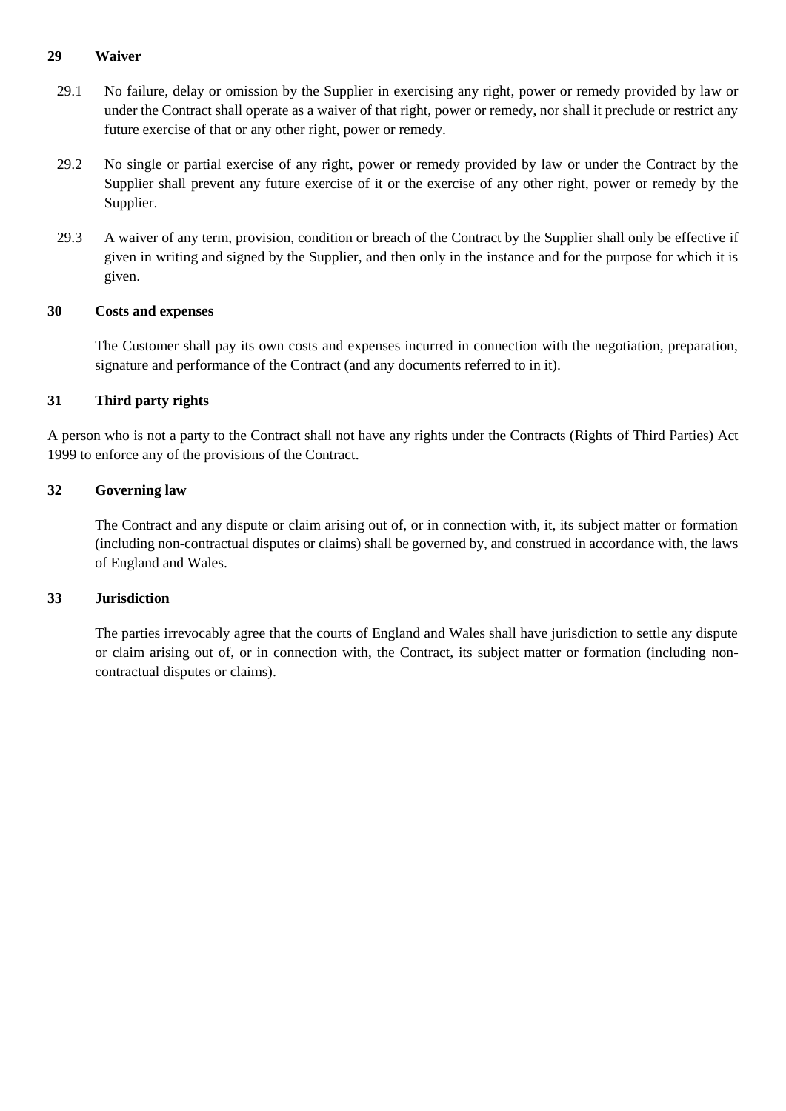# **29 Waiver**

- 29.1 No failure, delay or omission by the Supplier in exercising any right, power or remedy provided by law or under the Contract shall operate as a waiver of that right, power or remedy, nor shall it preclude or restrict any future exercise of that or any other right, power or remedy.
- 29.2 No single or partial exercise of any right, power or remedy provided by law or under the Contract by the Supplier shall prevent any future exercise of it or the exercise of any other right, power or remedy by the Supplier.
- 29.3 A waiver of any term, provision, condition or breach of the Contract by the Supplier shall only be effective if given in writing and signed by the Supplier, and then only in the instance and for the purpose for which it is given.

#### **30 Costs and expenses**

The Customer shall pay its own costs and expenses incurred in connection with the negotiation, preparation, signature and performance of the Contract (and any documents referred to in it).

#### **31 Third party rights**

A person who is not a party to the Contract shall not have any rights under the Contracts (Rights of Third Parties) Act 1999 to enforce any of the provisions of the Contract.

#### **32 Governing law**

The Contract and any dispute or claim arising out of, or in connection with, it, its subject matter or formation (including non-contractual disputes or claims) shall be governed by, and construed in accordance with, the laws of England and Wales.

#### **33 Jurisdiction**

The parties irrevocably agree that the courts of England and Wales shall have jurisdiction to settle any dispute or claim arising out of, or in connection with, the Contract, its subject matter or formation (including noncontractual disputes or claims).